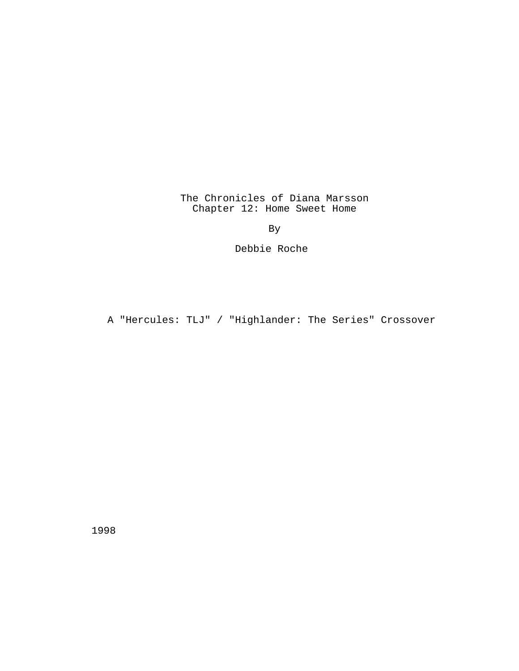The Chronicles of Diana Marsson Chapter 12: Home Sweet Home

By

Debbie Roche

A "Hercules: TLJ" / "Highlander: The Series" Crossover

1998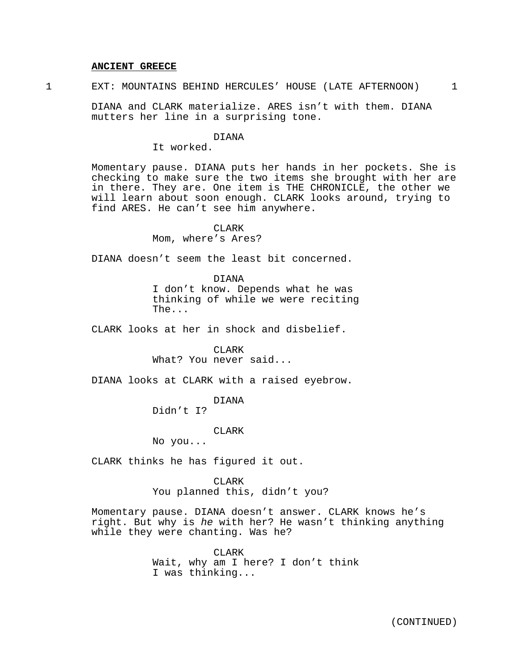#### **ANCIENT GREECE**

1 EXT: MOUNTAINS BEHIND HERCULES' HOUSE (LATE AFTERNOON) 1

DIANA and CLARK materialize. ARES isn't with them. DIANA mutters her line in a surprising tone.

#### DIANA

It worked.

Momentary pause. DIANA puts her hands in her pockets. She is checking to make sure the two items she brought with her are in there. They are. One item is THE CHRONICLE, the other we will learn about soon enough. CLARK looks around, trying to find ARES. He can't see him anywhere.

### CLARK

Mom, where's Ares?

DIANA doesn't seem the least bit concerned.

DIANA I don't know. Depends what he was thinking of while we were reciting The...

CLARK looks at her in shock and disbelief.

CLARK What? You never said...

DIANA looks at CLARK with a raised eyebrow.

# DIANA

Didn't I?

CLARK

No you...

CLARK thinks he has figured it out.

**CLARK** You planned this, didn't you?

Momentary pause. DIANA doesn't answer. CLARK knows he's right. But why is he with her? He wasn't thinking anything while they were chanting. Was he?

> CLARK Wait, why am I here? I don't think I was thinking...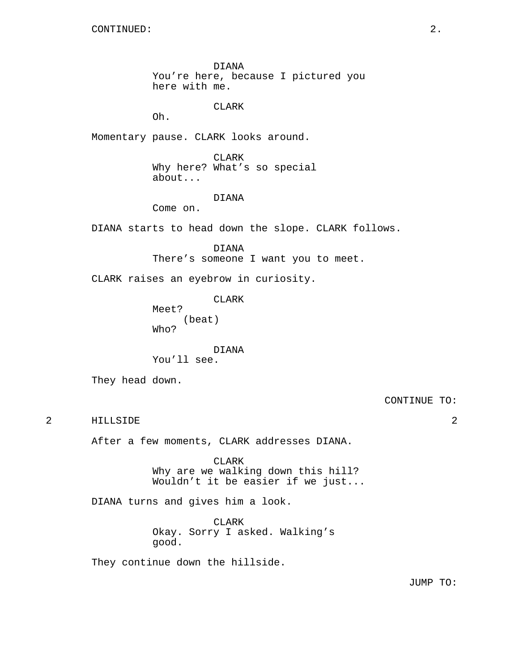DIANA You're here, because I pictured you here with me.

CLARK

Oh.

Momentary pause. CLARK looks around.

CLARK Why here? What's so special about...

# DIANA

Come on.

DIANA starts to head down the slope. CLARK follows.

DIANA There's someone I want you to meet.

CLARK raises an eyebrow in curiosity.

CLARK

Meet? (beat) Who?

DIANA

You'll see.

They head down.

CONTINUE TO:

2 HILLSIDE 2

After a few moments, CLARK addresses DIANA.

CLARK Why are we walking down this hill? Wouldn't it be easier if we just...

DIANA turns and gives him a look.

CLARK Okay. Sorry I asked. Walking's good.

They continue down the hillside.

JUMP TO: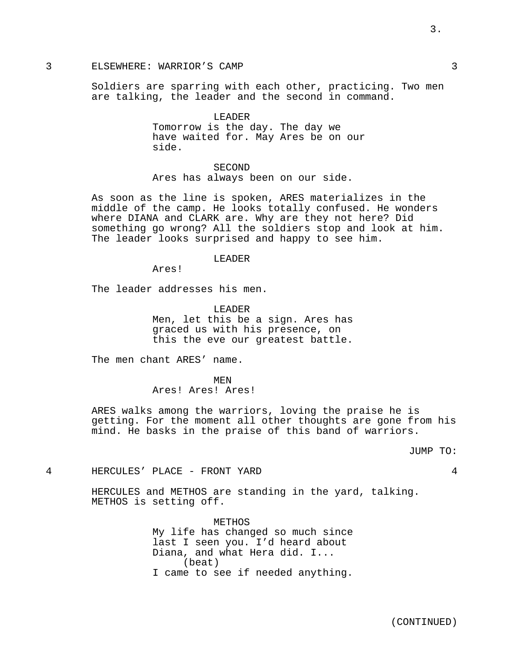# 3 ELSEWHERE: WARRIOR'S CAMP 3

Soldiers are sparring with each other, practicing. Two men are talking, the leader and the second in command.

> LEADER Tomorrow is the day. The day we have waited for. May Ares be on our side.

SECOND Ares has always been on our side.

As soon as the line is spoken, ARES materializes in the middle of the camp. He looks totally confused. He wonders where DIANA and CLARK are. Why are they not here? Did something go wrong? All the soldiers stop and look at him. The leader looks surprised and happy to see him.

#### LEADER

Ares!

The leader addresses his men.

LEADER Men, let this be a sign. Ares has graced us with his presence, on this the eve our greatest battle.

The men chant ARES' name.

MEN Ares! Ares! Ares!

ARES walks among the warriors, loving the praise he is getting. For the moment all other thoughts are gone from his mind. He basks in the praise of this band of warriors.

JUMP TO:

4 HERCULES' PLACE - FRONT YARD 4

HERCULES and METHOS are standing in the yard, talking. METHOS is setting off.

> METHOS My life has changed so much since last I seen you. I'd heard about Diana, and what Hera did. I... (beat) I came to see if needed anything.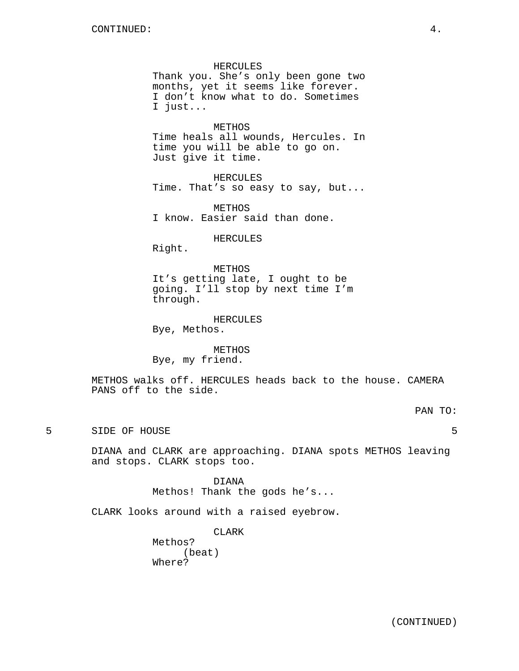HERCULES Thank you. She's only been gone two months, yet it seems like forever. I don't know what to do. Sometimes I just...

METHOS

Time heals all wounds, Hercules. In time you will be able to go on. Just give it time.

HERCULES Time. That's so easy to say, but...

METHOS I know. Easier said than done.

HERCULES

Right.

METHOS It's getting late, I ought to be going. I'll stop by next time I'm through.

HERCULES

Bye, Methos.

METHOS Bye, my friend.

METHOS walks off. HERCULES heads back to the house. CAMERA PANS off to the side.

PAN TO:

5 SIDE OF HOUSE 5

DIANA and CLARK are approaching. DIANA spots METHOS leaving and stops. CLARK stops too.

> DIANA Methos! Thank the gods he's...

CLARK looks around with a raised eyebrow.

CLARK

Methos? (beat) Where?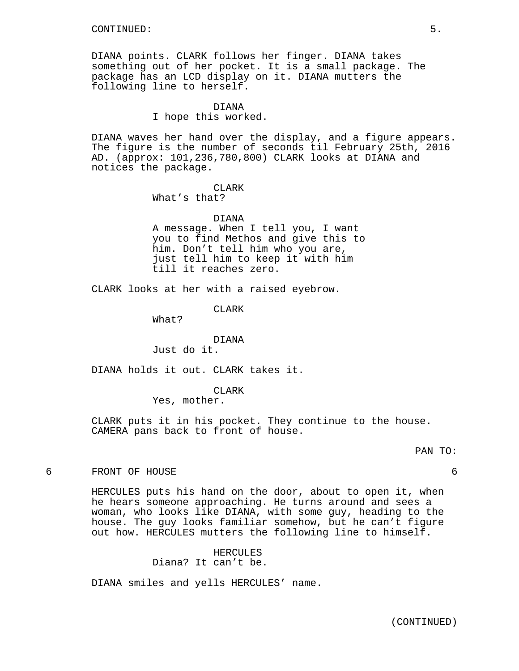DIANA points. CLARK follows her finger. DIANA takes something out of her pocket. It is a small package. The package has an LCD display on it. DIANA mutters the following line to herself.

#### DIANA

I hope this worked.

DIANA waves her hand over the display, and a figure appears. The figure is the number of seconds til February 25th, 2016 AD. (approx: 101,236,780,800) CLARK looks at DIANA and notices the package.

# **CLARK**

What's that?

#### DIANA

A message. When I tell you, I want you to find Methos and give this to him. Don't tell him who you are, just tell him to keep it with him till it reaches zero.

CLARK looks at her with a raised eyebrow.

**CLARK** 

What?

# DIANA

Just do it.

DIANA holds it out. CLARK takes it.

CLARK

Yes, mother.

CLARK puts it in his pocket. They continue to the house. CAMERA pans back to front of house.

#### PAN TO:

6 FRONT OF HOUSE 6

HERCULES puts his hand on the door, about to open it, when he hears someone approaching. He turns around and sees a woman, who looks like DIANA, with some guy, heading to the house. The guy looks familiar somehow, but he can't figure out how. HERCULES mutters the following line to himself.

> HERCULES Diana? It can't be.

DIANA smiles and yells HERCULES' name.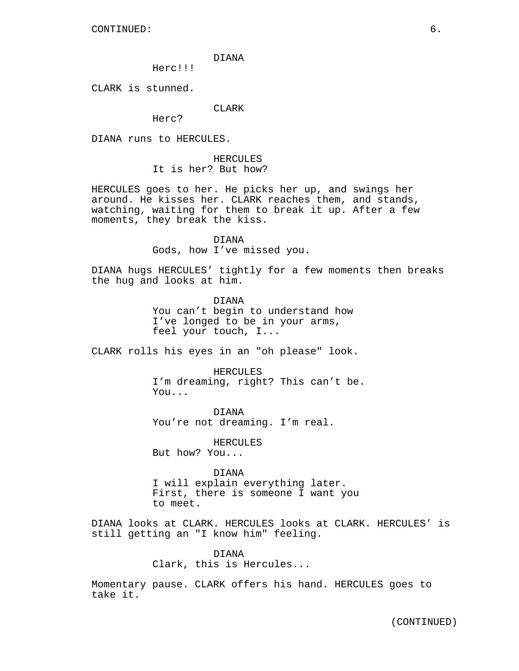DIANA

Herc!!!

CLARK is stunned.

CLARK

Herc?

DIANA runs to HERCULES.

HERCULES It is her? But how?

HERCULES goes to her. He picks her up, and swings her around. He kisses her. CLARK reaches them, and stands, watching, waiting for them to break it up. After a few moments, they break the kiss.

> DIANA Gods, how I've missed you.

DIANA hugs HERCULES' tightly for a few moments then breaks the hug and looks at him.

> DIANA You can't begin to understand how I've longed to be in your arms, feel your touch, I...

CLARK rolls his eyes in an "oh please" look.

HERCULES

I'm dreaming, right? This can't be. You...

DIANA You're not dreaming. I'm real.

HERCULES But how? You...

DIANA

I will explain everything later. First, there is someone I want you to meet.

DIANA looks at CLARK. HERCULES looks at CLARK. HERCULES' is still getting an "I know him" feeling.

> DIANA Clark, this is Hercules...

Momentary pause. CLARK offers his hand. HERCULES goes to take it.

(CONTINUED)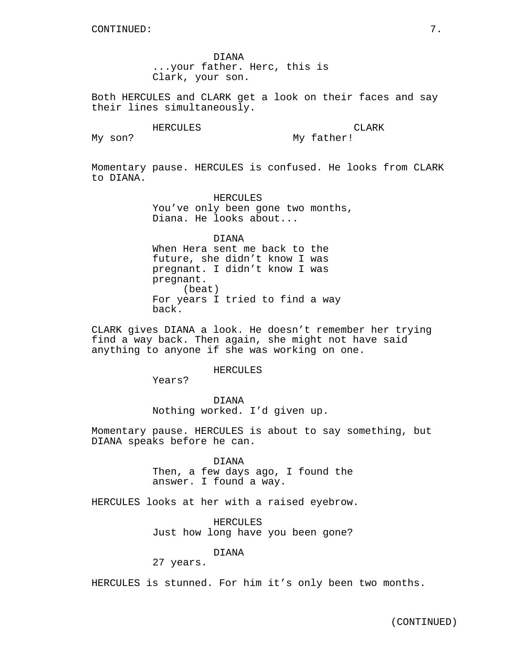DIANA ...your father. Herc, this is Clark, your son.

Both HERCULES and CLARK get a look on their faces and say their lines simultaneously.

#### HERCULES<sup>1</sup>

**CLARK** My father!

My son?

Momentary pause. HERCULES is confused. He looks from CLARK to DIANA.

> HERCULES You've only been gone two months, Diana. He looks about...

DIANA When Hera sent me back to the future, she didn't know I was pregnant. I didn't know I was pregnant. (beat) For years I tried to find a way back.

CLARK gives DIANA a look. He doesn't remember her trying find a way back. Then again, she might not have said anything to anyone if she was working on one.

#### HERCULES

Years?

DIANA Nothing worked. I'd given up.

Momentary pause. HERCULES is about to say something, but DIANA speaks before he can.

DIANA

Then, a few days ago, I found the answer. I found a way.

HERCULES looks at her with a raised eyebrow.

HERCULES Just how long have you been gone?

DIANA

27 years.

HERCULES is stunned. For him it's only been two months.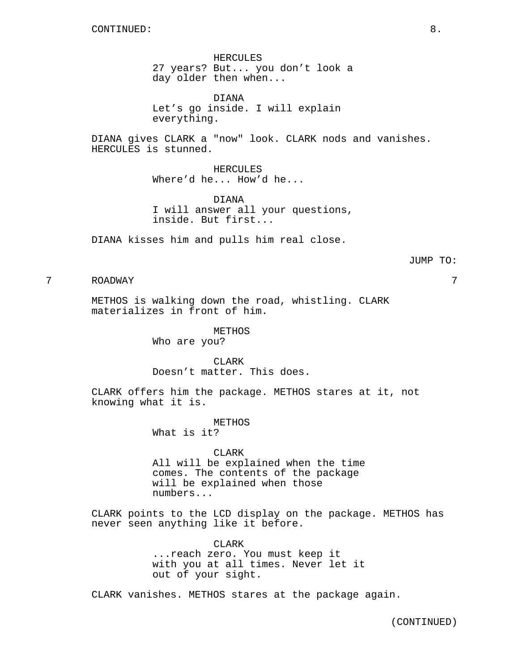HERCULES 27 years? But... you don't look a day older then when...

DIANA Let's go inside. I will explain everything.

DIANA gives CLARK a "now" look. CLARK nods and vanishes. HERCULES is stunned.

> HERCULES Where'd he... How'd he...

DIANA I will answer all your questions, inside. But first...

DIANA kisses him and pulls him real close.

#### JUMP TO:

7 ROADWAY 7

METHOS is walking down the road, whistling. CLARK materializes in front of him.

METHOS

Who are you?

CLARK Doesn't matter. This does.

CLARK offers him the package. METHOS stares at it, not knowing what it is.

> METHOS What is it?

CLARK All will be explained when the time comes. The contents of the package will be explained when those numbers...

CLARK points to the LCD display on the package. METHOS has never seen anything like it before.

> CLARK ...reach zero. You must keep it with you at all times. Never let it out of your sight.

CLARK vanishes. METHOS stares at the package again.

(CONTINUED)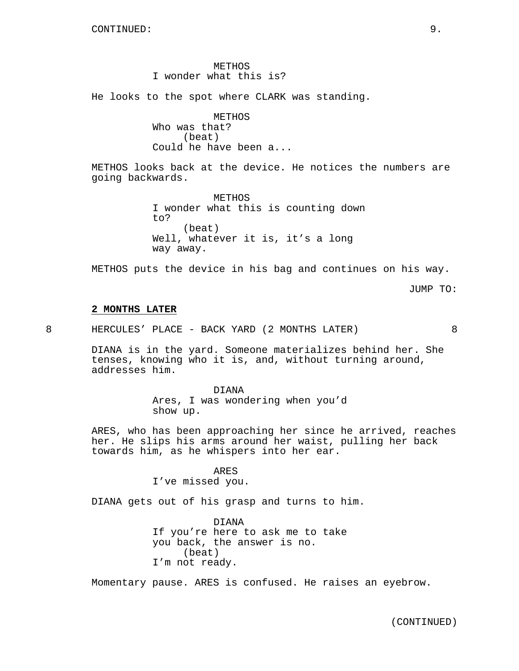METHOS I wonder what this is?

He looks to the spot where CLARK was standing.

METHOS Who was that? (beat) Could he have been a...

METHOS looks back at the device. He notices the numbers are going backwards.

> METHOS I wonder what this is counting down to? (beat) Well, whatever it is, it's a long way away.

METHOS puts the device in his bag and continues on his way.

JUMP TO:

#### **2 MONTHS LATER**

8 HERCULES' PLACE - BACK YARD (2 MONTHS LATER) 8

DIANA is in the yard. Someone materializes behind her. She tenses, knowing who it is, and, without turning around, addresses him.

> DIANA Ares, I was wondering when you'd show up.

ARES, who has been approaching her since he arrived, reaches her. He slips his arms around her waist, pulling her back towards him, as he whispers into her ear.

#### ARES

I've missed you.

DIANA gets out of his grasp and turns to him.

DIANA If you're here to ask me to take you back, the answer is no. (beat) I'm not ready.

Momentary pause. ARES is confused. He raises an eyebrow.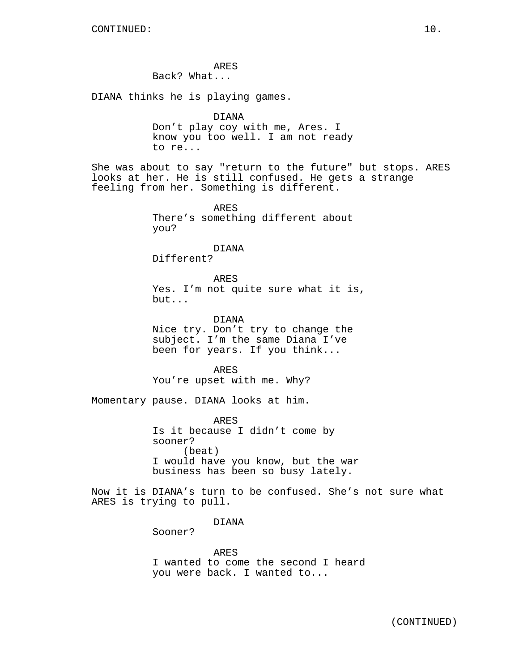ARES Back? What...

DIANA thinks he is playing games.

```
DIANA
```
Don't play coy with me, Ares. I know you too well. I am not ready to re...

She was about to say "return to the future" but stops. ARES looks at her. He is still confused. He gets a strange feeling from her. Something is different.

> ARES There's something different about you?

> > DIANA

Different?

ARES Yes. I'm not quite sure what it is, but...

DIANA Nice try. Don't try to change the subject. I'm the same Diana I've been for years. If you think...

ARES You're upset with me. Why?

Momentary pause. DIANA looks at him.

ARES Is it because I didn't come by sooner? (beat) I would have you know, but the war business has been so busy lately.

Now it is DIANA's turn to be confused. She's not sure what ARES is trying to pull.

DIANA

Sooner?

ARES I wanted to come the second I heard you were back. I wanted to...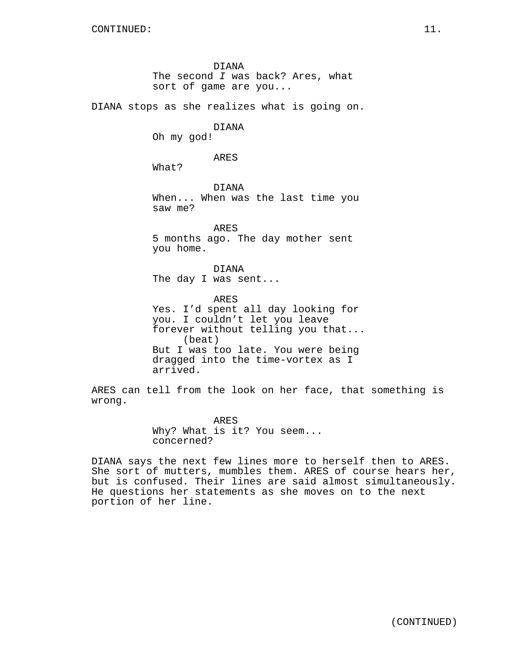DIANA The second I was back? Ares, what sort of game are you... DIANA stops as she realizes what is going on. DIANA Oh my god! ARES What? DIANA When... When was the last time you saw me? ARES 5 months ago. The day mother sent you home. DIANA The day I was sent... ARES Yes. I'd spent all day looking for you. I couldn't let you leave forever without telling you that... (beat) But I was too late. You were being dragged into the time-vortex as I arrived. ARES can tell from the look on her face, that something is wrong.

> ARES Why? What is it? You seem... concerned?

DIANA says the next few lines more to herself then to ARES. She sort of mutters, mumbles them. ARES of course hears her, but is confused. Their lines are said almost simultaneously. He questions her statements as she moves on to the next portion of her line.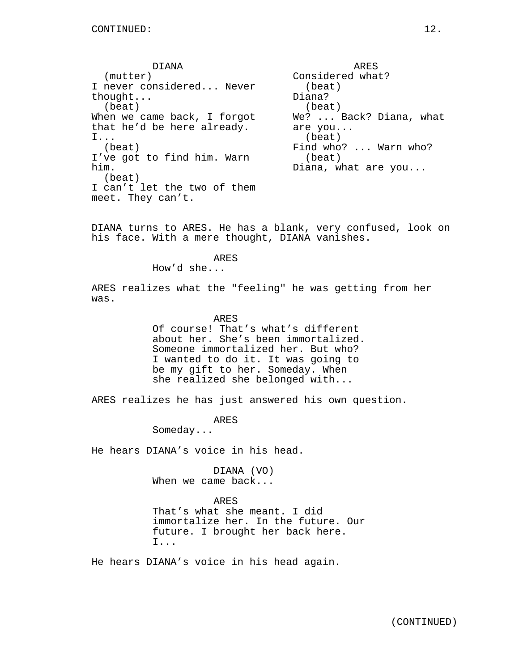DIANA (mutter) I never considered... Never thought... (beat) When we came back, I forgot that he'd be here already. I... (beat) I've got to find him. Warn him. (beat) I can't let the two of them meet. They can't.

ARES Considered what? (beat) Diana? (beat) We? ... Back? Diana, what are you... (beat) Find who? ... Warn who? (beat) Diana, what are you...

DIANA turns to ARES. He has a blank, very confused, look on his face. With a mere thought, DIANA vanishes.

### ARES

How'd she...

ARES realizes what the "feeling" he was getting from her was.

#### ARES

Of course! That's what's different about her. She's been immortalized. Someone immortalized her. But who? I wanted to do it. It was going to be my gift to her. Someday. When she realized she belonged with...

ARES realizes he has just answered his own question.

ARES

Someday...

He hears DIANA's voice in his head.

DIANA (VO) When we came back...

#### ARES

That's what she meant. I did immortalize her. In the future. Our future. I brought her back here. I...

He hears DIANA's voice in his head again.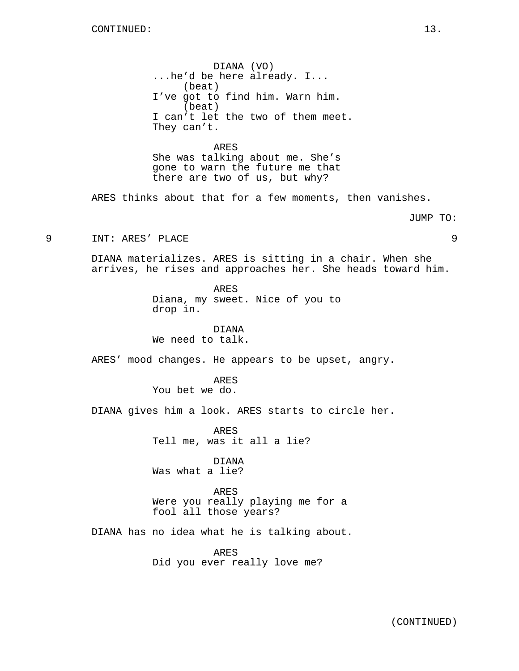DIANA (VO) ...he'd be here already. I... (beat) I've got to find him. Warn him. (beat) I can't let the two of them meet. They can't.

ARES She was talking about me. She's gone to warn the future me that there are two of us, but why?

ARES thinks about that for a few moments, then vanishes.

JUMP TO:

9 INT: ARES' PLACE 9

DIANA materializes. ARES is sitting in a chair. When she arrives, he rises and approaches her. She heads toward him.

> ARES Diana, my sweet. Nice of you to drop in.

DIANA We need to talk.

ARES' mood changes. He appears to be upset, angry.

ARES You bet we do.

DIANA gives him a look. ARES starts to circle her.

ARES Tell me, was it all a lie?

DIANA Was what a lie?

ARES Were you really playing me for a fool all those years?

DIANA has no idea what he is talking about.

ARES Did you ever really love me?

(CONTINUED)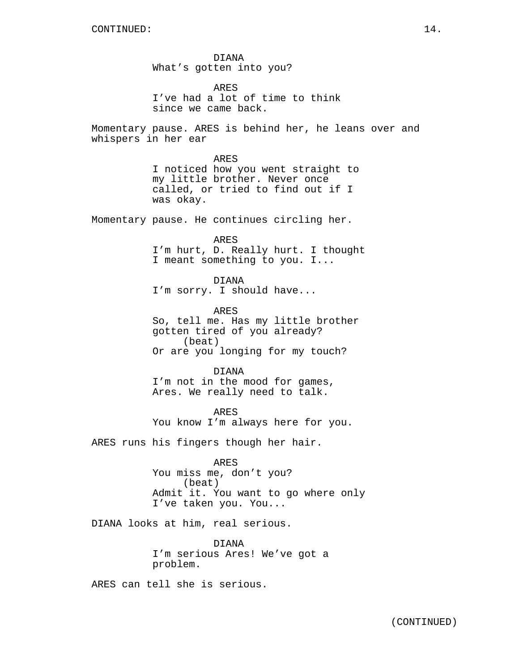DIANA What's gotten into you?

ARES I've had a lot of time to think since we came back.

Momentary pause. ARES is behind her, he leans over and whispers in her ear

> ARES I noticed how you went straight to my little brother. Never once called, or tried to find out if I was okay.

Momentary pause. He continues circling her.

ARES

I'm hurt, D. Really hurt. I thought I meant something to you. I...

DIANA I'm sorry. I should have...

ARES So, tell me. Has my little brother gotten tired of you already? (beat) Or are you longing for my touch?

DIANA I'm not in the mood for games, Ares. We really need to talk.

ARES You know I'm always here for you.

ARES runs his fingers though her hair.

ARES You miss me, don't you? (beat) Admit it. You want to go where only I've taken you. You...

DIANA looks at him, real serious.

DIANA I'm serious Ares! We've got a problem.

ARES can tell she is serious.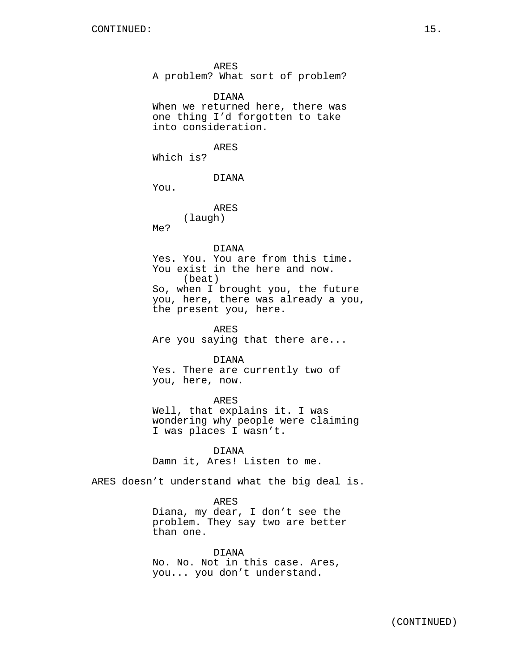ARES A problem? What sort of problem?

DIANA When we returned here, there was one thing I'd forgotten to take into consideration.

ARES Which is?

DIANA

You.

ARES (laugh)

Me?

DIANA

Yes. You. You are from this time. You exist in the here and now. (beat) So, when I brought you, the future you, here, there was already a you, the present you, here.

ARES Are you saying that there are...

DIANA Yes. There are currently two of you, here, now.

ARES Well, that explains it. I was wondering why people were claiming I was places I wasn't.

DIANA Damn it, Ares! Listen to me.

ARES doesn't understand what the big deal is.

### ARES

Diana, my dear, I don't see the problem. They say two are better than one.

DIANA No. No. Not in this case. Ares, you... you don't understand.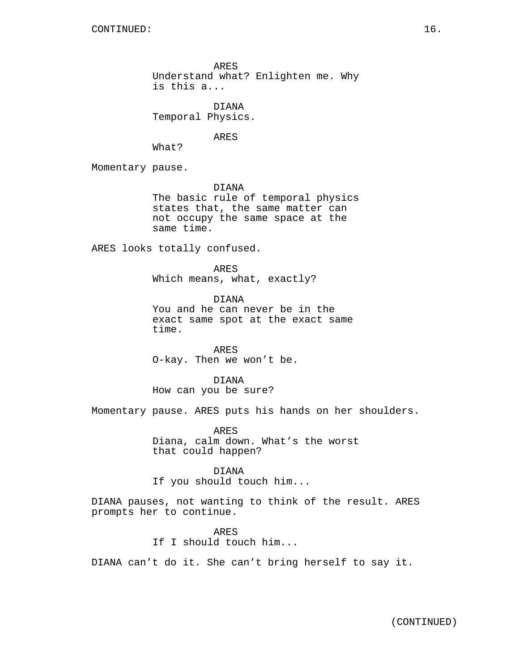ARES Understand what? Enlighten me. Why is this a...

DIANA Temporal Physics.

ARES

What?

Momentary pause.

DIANA The basic rule of temporal physics states that, the same matter can not occupy the same space at the same time.

ARES looks totally confused.

ARES Which means, what, exactly?

DIANA You and he can never be in the exact same spot at the exact same time.

ARES O-kay. Then we won't be.

DIANA How can you be sure?

Momentary pause. ARES puts his hands on her shoulders.

ARES Diana, calm down. What's the worst that could happen?

DIANA If you should touch him...

DIANA pauses, not wanting to think of the result. ARES prompts her to continue.

> ARES If I should touch him...

DIANA can't do it. She can't bring herself to say it.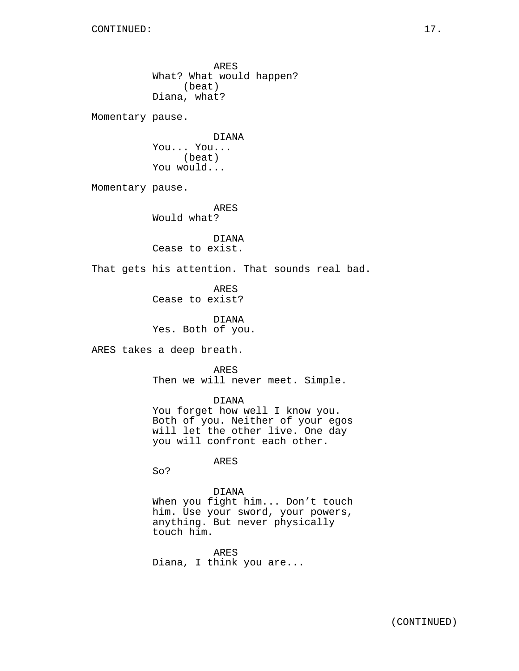ARES What? What would happen? (beat) Diana, what? Momentary pause. DIANA You... You... (beat) You would... Momentary pause. ARES Would what? DIANA Cease to exist. That gets his attention. That sounds real bad. ARES Cease to exist? DIANA Yes. Both of you. ARES takes a deep breath. ARES Then we will never meet. Simple. DIANA You forget how well I know you. Both of you. Neither of your egos will let the other live. One day you will confront each other. ARES So? DIANA When you fight him... Don't touch him. Use your sword, your powers, anything. But never physically touch him. ARES

Diana, I think you are...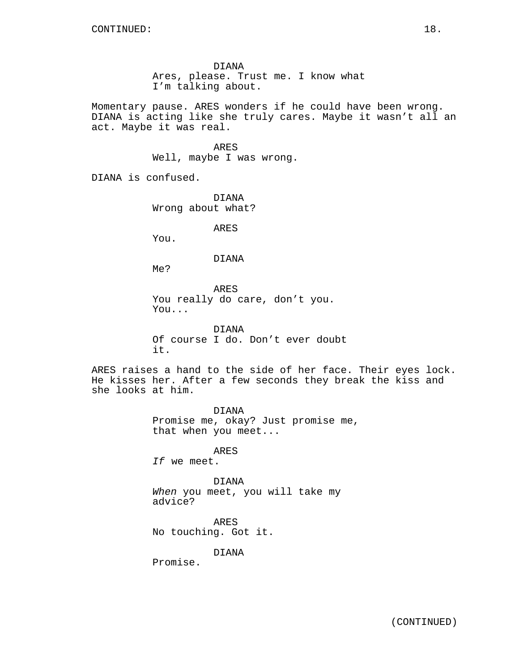DIANA Ares, please. Trust me. I know what I'm talking about.

Momentary pause. ARES wonders if he could have been wrong. DIANA is acting like she truly cares. Maybe it wasn't all an act. Maybe it was real.

> ARES Well, maybe I was wrong.

DIANA is confused.

DIANA Wrong about what?

ARES

You.

#### DIANA

Me?

ARES You really do care, don't you. You...

DIANA Of course I do. Don't ever doubt it.

ARES raises a hand to the side of her face. Their eyes lock. He kisses her. After a few seconds they break the kiss and she looks at him.

> DIANA Promise me, okay? Just promise me, that when you meet...

> > ARES

If we meet.

DIANA When you meet, you will take my advice?

ARES No touching. Got it.

DIANA

Promise.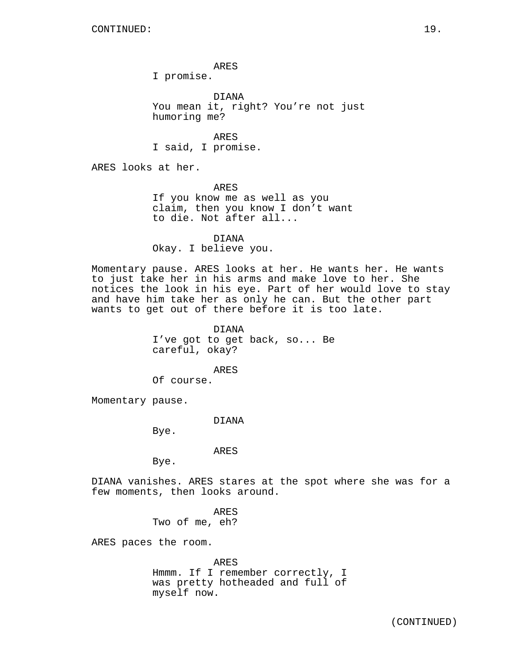ARES

I promise.

DIANA You mean it, right? You're not just humoring me?

ARES I said, I promise.

ARES looks at her.

ARES If you know me as well as you claim, then you know I don't want to die. Not after all...

DIANA Okay. I believe you.

Momentary pause. ARES looks at her. He wants her. He wants to just take her in his arms and make love to her. She notices the look in his eye. Part of her would love to stay and have him take her as only he can. But the other part wants to get out of there before it is too late.

> DIANA I've got to get back, so... Be careful, okay?

ARES Of course.

Momentary pause.

DIANA

Bye.

ARES

Bye.

DIANA vanishes. ARES stares at the spot where she was for a few moments, then looks around.

> ARES Two of me, eh?

ARES paces the room.

ARES

Hmmm. If I remember correctly, I was pretty hotheaded and full of myself now.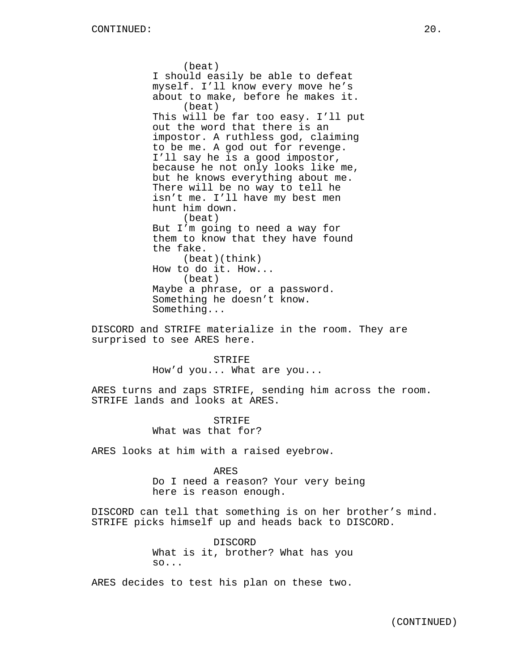(beat) I should easily be able to defeat myself. I'll know every move he's about to make, before he makes it. (beat) This will be far too easy. I'll put out the word that there is an impostor. A ruthless god, claiming to be me. A god out for revenge. I'll say he is a good impostor, because he not only looks like me, but he knows everything about me. There will be no way to tell he isn't me. I'll have my best men hunt him down. (beat) But I'm going to need a way for them to know that they have found the fake. (beat)(think) How to do it. How... (beat) Maybe a phrase, or a password. Something he doesn't know. Something...

DISCORD and STRIFE materialize in the room. They are surprised to see ARES here.

> STRIFE How'd you... What are you...

ARES turns and zaps STRIFE, sending him across the room. STRIFE lands and looks at ARES.

> STRIFE What was that for?

ARES looks at him with a raised eyebrow.

ARES Do I need a reason? Your very being here is reason enough.

DISCORD can tell that something is on her brother's mind. STRIFE picks himself up and heads back to DISCORD.

> DISCORD What is it, brother? What has you so...

ARES decides to test his plan on these two.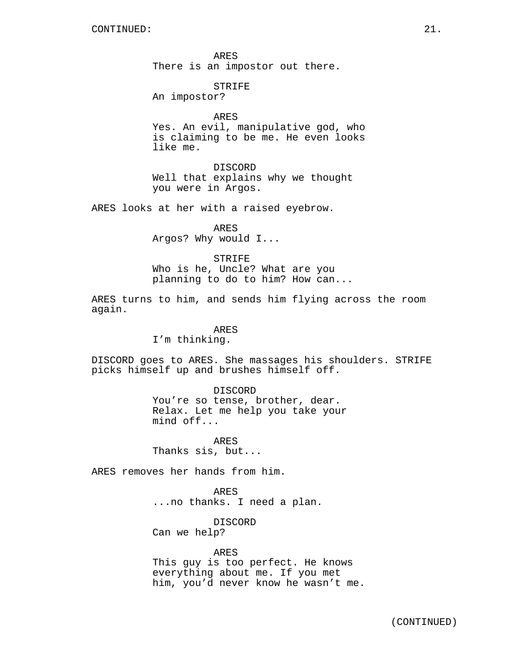ARES There is an impostor out there.

# STRIFE

An impostor?

ARES

Yes. An evil, manipulative god, who is claiming to be me. He even looks like me.

DISCORD Well that explains why we thought you were in Argos.

ARES looks at her with a raised eyebrow.

ARES Argos? Why would I...

# STRIFE

Who is he, Uncle? What are you planning to do to him? How can...

ARES turns to him, and sends him flying across the room again.

#### ARES

I'm thinking.

DISCORD goes to ARES. She massages his shoulders. STRIFE picks himself up and brushes himself off.

#### DISCORD

You're so tense, brother, dear. Relax. Let me help you take your mind off...

ARES Thanks sis, but...

ARES removes her hands from him.

ARES ...no thanks. I need a plan.

DISCORD Can we help?

ARES This guy is too perfect. He knows everything about me. If you met him, you'd never know he wasn't me.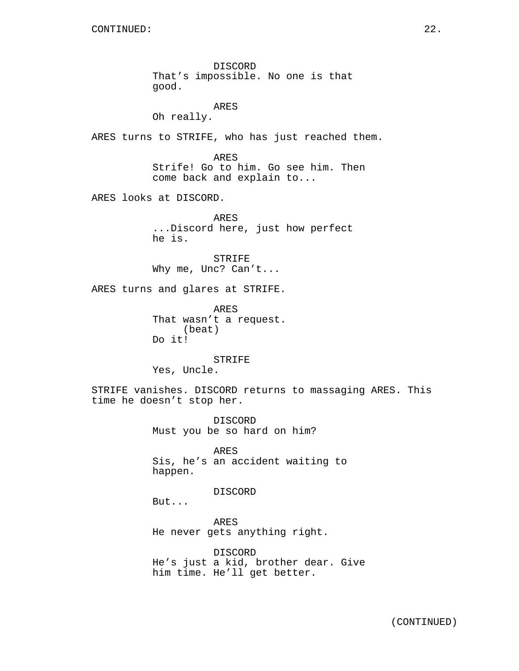DISCORD That's impossible. No one is that good.

ARES Oh really.

ARES turns to STRIFE, who has just reached them.

ARES Strife! Go to him. Go see him. Then come back and explain to...

ARES looks at DISCORD.

ARES ...Discord here, just how perfect he is.

STRIFE Why me, Unc? Can't...

ARES turns and glares at STRIFE.

ARES That wasn't a request. (beat) Do it!

STRIFE Yes, Uncle.

STRIFE vanishes. DISCORD returns to massaging ARES. This time he doesn't stop her.

> DISCORD Must you be so hard on him?

ARES Sis, he's an accident waiting to happen.

#### DISCORD

But...

ARES He never gets anything right.

DISCORD He's just a kid, brother dear. Give him time. He'll get better.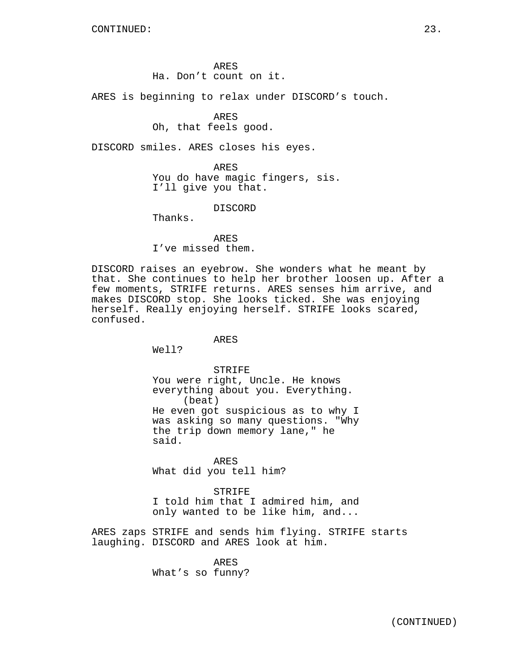ARES Ha. Don't count on it.

ARES is beginning to relax under DISCORD's touch.

### ARES

Oh, that feels good.

DISCORD smiles. ARES closes his eyes.

ARES You do have magic fingers, sis. I'll give you that.

DISCORD

Thanks.

ARES I've missed them.

DISCORD raises an eyebrow. She wonders what he meant by that. She continues to help her brother loosen up. After a few moments, STRIFE returns. ARES senses him arrive, and makes DISCORD stop. She looks ticked. She was enjoying herself. Really enjoying herself. STRIFE looks scared, confused.

# ARES

Well?

STRIFE

You were right, Uncle. He knows everything about you. Everything. (beat) He even got suspicious as to why I was asking so many questions. "Why the trip down memory lane," he said.

ARES What did you tell him?

STRIFE I told him that I admired him, and only wanted to be like him, and...

ARES zaps STRIFE and sends him flying. STRIFE starts laughing. DISCORD and ARES look at him.

> ARES What's so funny?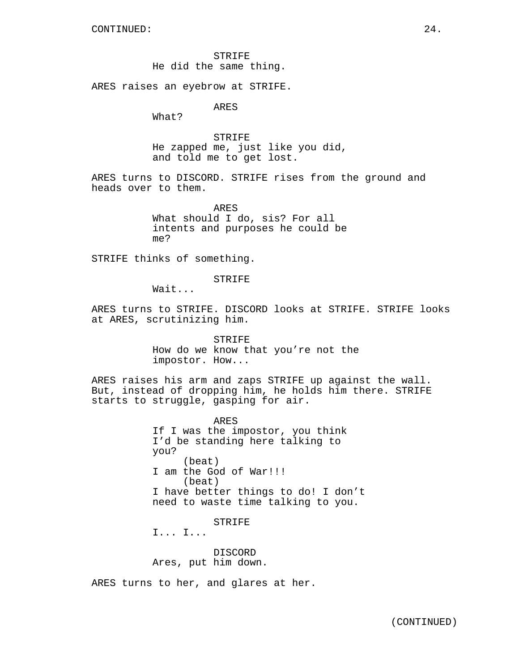STRIFE He did the same thing.

ARES raises an eyebrow at STRIFE.

ARES

What?

**STRIFE** He zapped me, just like you did, and told me to get lost.

ARES turns to DISCORD. STRIFE rises from the ground and heads over to them.

> ARES What should I do, sis? For all intents and purposes he could be me?

STRIFE thinks of something.

STRIFE

Wait...

ARES turns to STRIFE. DISCORD looks at STRIFE. STRIFE looks at ARES, scrutinizing him.

> STRIFE How do we know that you're not the impostor. How...

ARES raises his arm and zaps STRIFE up against the wall. But, instead of dropping him, he holds him there. STRIFE starts to struggle, gasping for air.

> ARES If I was the impostor, you think I'd be standing here talking to you? (beat) I am the God of War!!! (beat) I have better things to do! I don't need to waste time talking to you.

> > STRIFE

I... I...

DISCORD Ares, put him down.

ARES turns to her, and glares at her.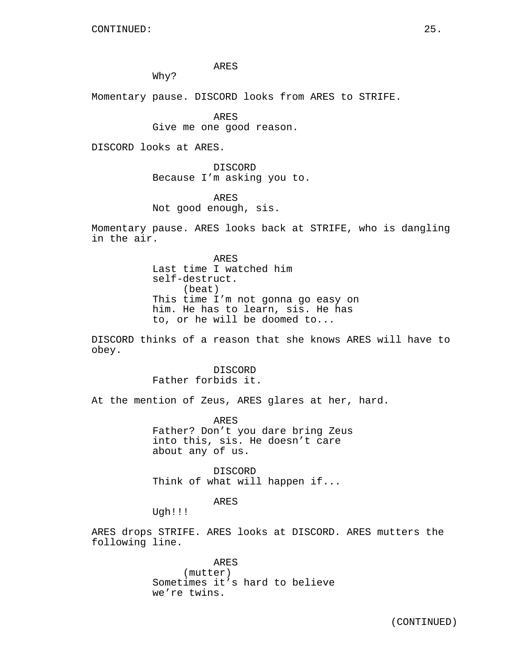ARES

Why?

Momentary pause. DISCORD looks from ARES to STRIFE.

ARES Give me one good reason.

DISCORD looks at ARES.

DISCORD Because I'm asking you to.

ARES Not good enough, sis.

Momentary pause. ARES looks back at STRIFE, who is dangling in the air.

> ARES Last time I watched him self-destruct. (beat) This time I'm not gonna go easy on him. He has to learn, sis. He has to, or he will be doomed to...

DISCORD thinks of a reason that she knows ARES will have to obey.

> DISCORD Father forbids it.

At the mention of Zeus, ARES glares at her, hard.

ARES Father? Don't you dare bring Zeus into this, sis. He doesn't care about any of us.

DISCORD Think of what will happen if...

ARES

Ugh!!!

ARES drops STRIFE. ARES looks at DISCORD. ARES mutters the following line.

> ARES (mutter) Sometimes it's hard to believe we're twins.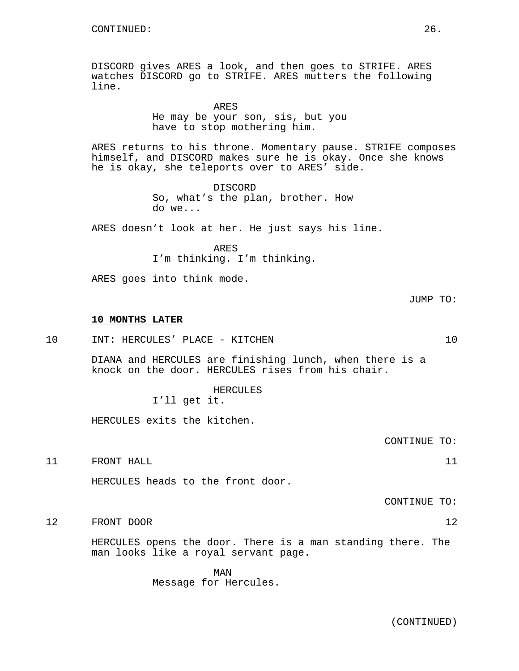DISCORD gives ARES a look, and then goes to STRIFE. ARES watches DISCORD go to STRIFE. ARES mutters the following line.

ARES

He may be your son, sis, but you have to stop mothering him.

ARES returns to his throne. Momentary pause. STRIFE composes himself, and DISCORD makes sure he is okay. Once she knows he is okay, she teleports over to ARES' side.

> DISCORD So, what's the plan, brother. How do we...

ARES doesn't look at her. He just says his line.

ARES I'm thinking. I'm thinking.

ARES goes into think mode.

JUMP TO:

#### **10 MONTHS LATER**

10 INT: HERCULES' PLACE - KITCHEN 10

DIANA and HERCULES are finishing lunch, when there is a knock on the door. HERCULES rises from his chair.

> HERCULES I'll get it.

HERCULES exits the kitchen.

CONTINUE TO:

11 FRONT HALL 2008 11

HERCULES heads to the front door.

CONTINUE TO:

12 FRONT DOOR 12

HERCULES opens the door. There is a man standing there. The man looks like a royal servant page.

> MAN Message for Hercules.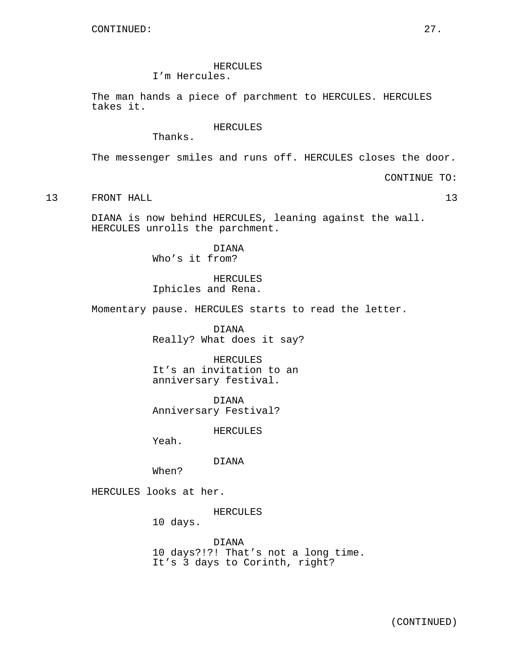# HERCULES

I'm Hercules.

The man hands a piece of parchment to HERCULES. HERCULES takes it.

### HERCULES

Thanks.

The messenger smiles and runs off. HERCULES closes the door.

CONTINUE TO:

13 FRONT HALL 2008 13

DIANA is now behind HERCULES, leaning against the wall. HERCULES unrolls the parchment.

> DIANA Who's it from?

HERCULES Iphicles and Rena.

Momentary pause. HERCULES starts to read the letter.

DIANA Really? What does it say?

HERCULES It's an invitation to an anniversary festival.

DIANA Anniversary Festival?

HERCULES

Yeah.

DIANA

When?

HERCULES looks at her.

HERCULES

10 days.

DIANA 10 days?!?! That's not a long time. It's 3 days to Corinth, right?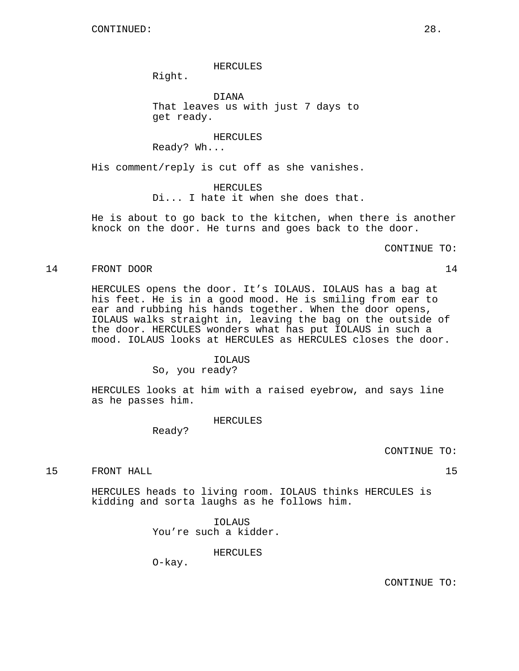HERCULES

Right.

DIANA That leaves us with just 7 days to get ready.

HERCULES Ready? Wh...

His comment/reply is cut off as she vanishes.

HERCULES Di... I hate it when she does that.

He is about to go back to the kitchen, when there is another knock on the door. He turns and goes back to the door.

CONTINUE TO:

#### 14 FRONT DOOR 14

HERCULES opens the door. It's IOLAUS. IOLAUS has a bag at his feet. He is in a good mood. He is smiling from ear to ear and rubbing his hands together. When the door opens, IOLAUS walks straight in, leaving the bag on the outside of the door. HERCULES wonders what has put IOLAUS in such a mood. IOLAUS looks at HERCULES as HERCULES closes the door.

# IOLAUS

So, you ready?

HERCULES looks at him with a raised eyebrow, and says line as he passes him.

HERCULES

Ready?

CONTINUE TO:

15 FRONT HALL 15

HERCULES heads to living room. IOLAUS thinks HERCULES is kidding and sorta laughs as he follows him.

> IOLAUS You're such a kidder.

> > HERCULES

O-kay.

CONTINUE TO: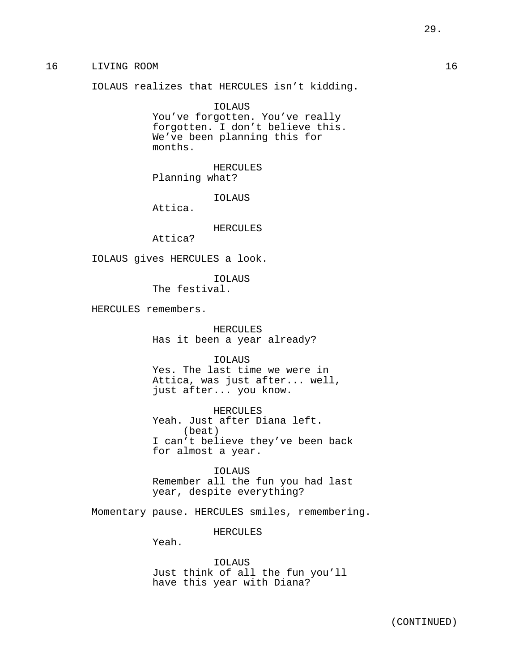# 16 LIVING ROOM 16

IOLAUS realizes that HERCULES isn't kidding.

IOLAUS You've forgotten. You've really forgotten. I don't believe this. We've been planning this for months.

HERCULES Planning what?

IOLAUS

Attica.

# HERCULES

Attica?

IOLAUS gives HERCULES a look.

IOLAUS The festival.

HERCULES remembers.

HERCULES Has it been a year already?

IOLAUS

Yes. The last time we were in Attica, was just after... well, just after... you know.

HERCULES Yeah. Just after Diana left. (beat) I can't believe they've been back for almost a year.

IOLAUS Remember all the fun you had last year, despite everything?

Momentary pause. HERCULES smiles, remembering.

HERCULES

Yeah.

IOLAUS Just think of all the fun you'll have this year with Diana?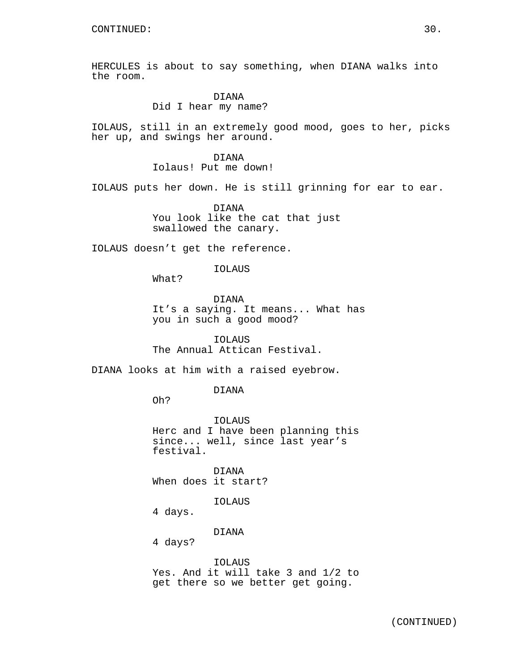HERCULES is about to say something, when DIANA walks into the room.

# DIANA

Did I hear my name?

IOLAUS, still in an extremely good mood, goes to her, picks her up, and swings her around.

DIANA

Iolaus! Put me down!

IOLAUS puts her down. He is still grinning for ear to ear.

DIANA You look like the cat that just swallowed the canary.

IOLAUS doesn't get the reference.

IOLAUS

What?

DIANA It's a saying. It means... What has you in such a good mood?

IOLAUS The Annual Attican Festival.

DIANA looks at him with a raised eyebrow.

DIANA

Oh?

IOLAUS Herc and I have been planning this since... well, since last year's festival.

DIANA When does it start?

IOLAUS

4 days.

DIANA

4 days?

### IOLAUS

Yes. And it will take 3 and 1/2 to get there so we better get going.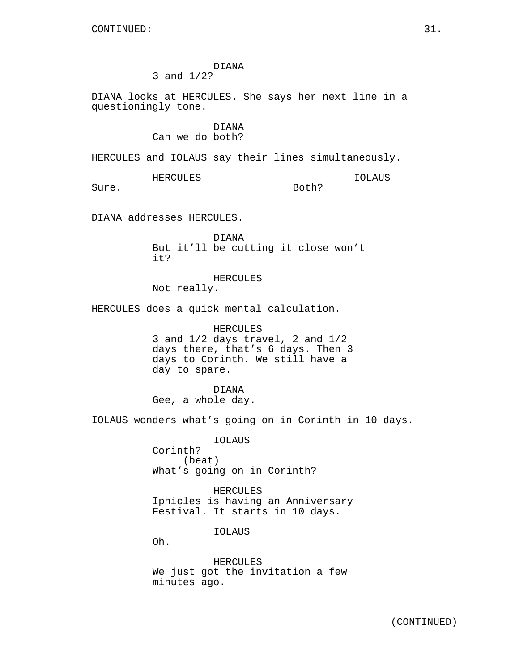# DIANA 3 and 1/2?

DIANA looks at HERCULES. She says her next line in a questioningly tone.

# DIANA Can we do both?

HERCULES and IOLAUS say their lines simultaneously.

HERCULES

IOLAUS

Both?

Sure.

DIANA addresses HERCULES.

DIANA But it'll be cutting it close won't it?

HERCULES

Not really.

HERCULES does a quick mental calculation.

HERCULES 3 and 1/2 days travel, 2 and 1/2 days there, that's 6 days. Then 3 days to Corinth. We still have a day to spare.

DIANA Gee, a whole day.

IOLAUS wonders what's going on in Corinth in 10 days.

IOLAUS Corinth? (beat) What's going on in Corinth?

HERCULES Iphicles is having an Anniversary Festival. It starts in 10 days.

IOLAUS

Oh.

HERCULES We just got the invitation a few minutes ago.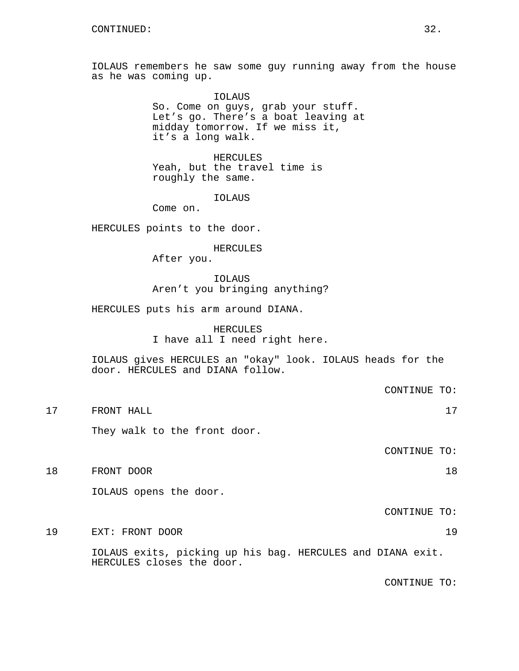IOLAUS remembers he saw some guy running away from the house as he was coming up.

> IOLAUS So. Come on guys, grab your stuff. Let's go. There's a boat leaving at midday tomorrow. If we miss it, it's a long walk.

HERCULES Yeah, but the travel time is roughly the same.

IOLAUS

Come on.

HERCULES points to the door.

HERCULES

After you.

IOLAUS Aren't you bringing anything?

HERCULES puts his arm around DIANA.

HERCULES I have all I need right here.

IOLAUS gives HERCULES an "okay" look. IOLAUS heads for the door. HERCULES and DIANA follow.

CONTINUE TO:

17 FRONT HALL 17

They walk to the front door.

CONTINUE TO:

18 FRONT DOOR 18

IOLAUS opens the door.

CONTINUE TO:

19 EXT: FRONT DOOR 19

IOLAUS exits, picking up his bag. HERCULES and DIANA exit. HERCULES closes the door.

CONTINUE TO: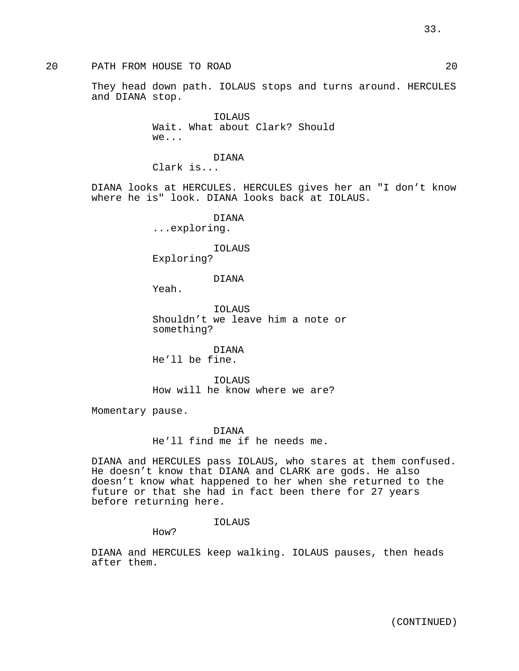# 20 PATH FROM HOUSE TO ROAD 20

They head down path. IOLAUS stops and turns around. HERCULES and DIANA stop.

> IOLAUS Wait. What about Clark? Should we...

# DIANA

Clark is...

DIANA looks at HERCULES. HERCULES gives her an "I don't know where he is" look. DIANA looks back at IOLAUS.

DIANA

...exploring.

#### IOLAUS

Exploring?

DIANA

Yeah.

IOLAUS Shouldn't we leave him a note or something?

DIANA He'll be fine.

IOLAUS How will he know where we are?

Momentary pause.

DIANA He'll find me if he needs me.

DIANA and HERCULES pass IOLAUS, who stares at them confused. He doesn't know that DIANA and CLARK are gods. He also doesn't know what happened to her when she returned to the future or that she had in fact been there for 27 years before returning here.

IOLAUS

How?

DIANA and HERCULES keep walking. IOLAUS pauses, then heads after them.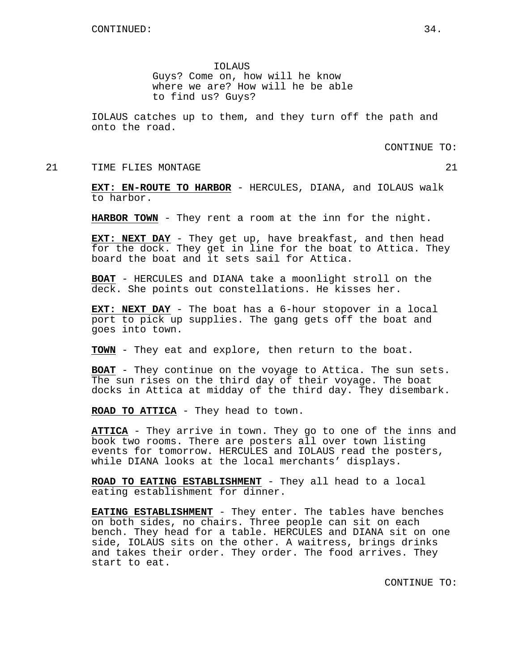IOLAUS

Guys? Come on, how will he know where we are? How will he be able to find us? Guys?

IOLAUS catches up to them, and they turn off the path and onto the road.

CONTINUE TO:

21 TIME FLIES MONTAGE 21 22

**EXT: EN-ROUTE TO HARBOR** - HERCULES, DIANA, and IOLAUS walk to harbor.

**HARBOR TOWN** - They rent a room at the inn for the night.

**EXT: NEXT DAY** - They get up, have breakfast, and then head for the dock. They get in line for the boat to Attica. They board the boat and it sets sail for Attica.

**BOAT** - HERCULES and DIANA take a moonlight stroll on the deck. She points out constellations. He kisses her.

**EXT: NEXT DAY** - The boat has a 6-hour stopover in a local port to pick up supplies. The gang gets off the boat and goes into town.

**TOWN** - They eat and explore, then return to the boat.

**BOAT** - They continue on the voyage to Attica. The sun sets. The sun rises on the third day of their voyage. The boat docks in Attica at midday of the third day. They disembark.

**ROAD TO ATTICA** - They head to town.

**ATTICA** - They arrive in town. They go to one of the inns and book two rooms. There are posters all over town listing events for tomorrow. HERCULES and IOLAUS read the posters, while DIANA looks at the local merchants' displays.

**ROAD TO EATING ESTABLISHMENT** - They all head to a local eating establishment for dinner.

**EATING ESTABLISHMENT** - They enter. The tables have benches on both sides, no chairs. Three people can sit on each bench. They head for a table. HERCULES and DIANA sit on one side, IOLAUS sits on the other. A waitress, brings drinks and takes their order. They order. The food arrives. They start to eat.

CONTINUE TO: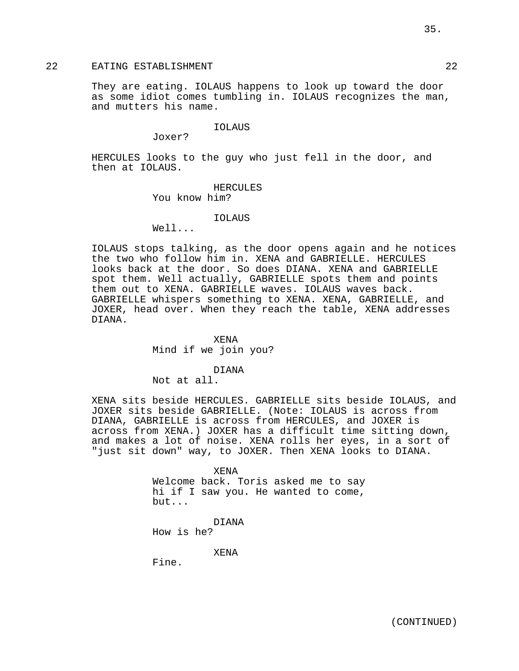# 22 EATING ESTABLISHMENT 22

They are eating. IOLAUS happens to look up toward the door as some idiot comes tumbling in. IOLAUS recognizes the man, and mutters his name.

IOLAUS

Joxer?

HERCULES looks to the guy who just fell in the door, and then at IOLAUS.

HERCULES

You know him?

#### IOLAUS

Well...

IOLAUS stops talking, as the door opens again and he notices the two who follow him in. XENA and GABRIELLE. HERCULES looks back at the door. So does DIANA. XENA and GABRIELLE spot them. Well actually, GABRIELLE spots them and points them out to XENA. GABRIELLE waves. IOLAUS waves back. GABRIELLE whispers something to XENA. XENA, GABRIELLE, and JOXER, head over. When they reach the table, XENA addresses DIANA.

> XENA Mind if we join you?

> > DIANA

Not at all.

XENA sits beside HERCULES. GABRIELLE sits beside IOLAUS, and JOXER sits beside GABRIELLE. (Note: IOLAUS is across from DIANA, GABRIELLE is across from HERCULES, and JOXER is across from XENA.) JOXER has a difficult time sitting down, and makes a lot of noise. XENA rolls her eyes, in a sort of "just sit down" way, to JOXER. Then XENA looks to DIANA.

> XENA Welcome back. Toris asked me to say hi if I saw you. He wanted to come, but...

DIANA How is he?

XENA

Fine.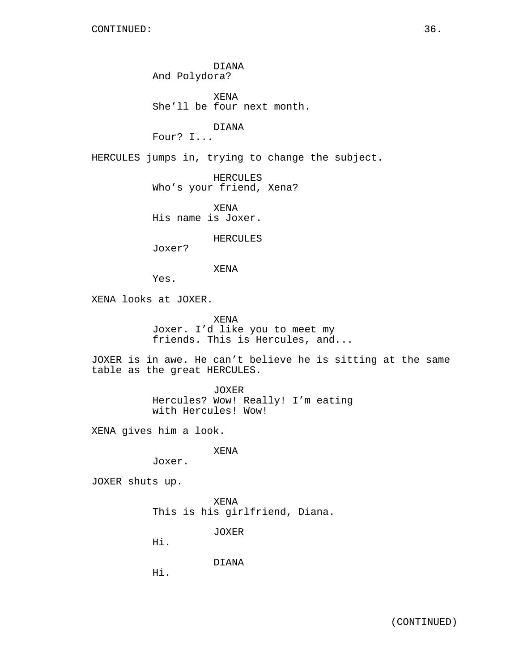DIANA And Polydora?

XENA She'll be four next month.

DIANA

Four? I...

HERCULES jumps in, trying to change the subject.

HERCULES Who's your friend, Xena?

XENA His name is Joxer.

HERCULES

Joxer?

XENA

Yes.

XENA looks at JOXER.

XENA Joxer. I'd like you to meet my friends. This is Hercules, and...

JOXER is in awe. He can't believe he is sitting at the same table as the great HERCULES.

> JOXER Hercules? Wow! Really! I'm eating with Hercules! Wow!

XENA gives him a look.

XENA

Joxer.

JOXER shuts up.

XENA This is his girlfriend, Diana.

JOXER

Hi.

DIANA

Hi.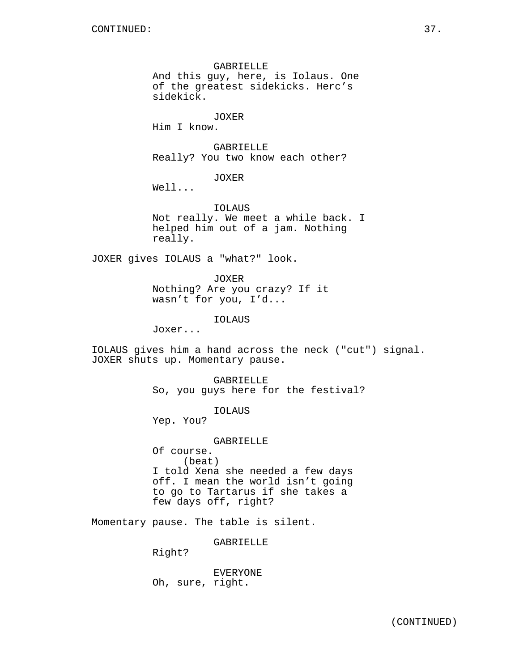GABRIELLE And this guy, here, is Iolaus. One of the greatest sidekicks. Herc's sidekick.

JOXER

Him I know.

GABRIELLE Really? You two know each other?

JOXER

Well...

IOLAUS Not really. We meet a while back. I helped him out of a jam. Nothing really.

JOXER gives IOLAUS a "what?" look.

JOXER Nothing? Are you crazy? If it wasn't for you, I'd...

IOLAUS

Joxer...

IOLAUS gives him a hand across the neck ("cut") signal. JOXER shuts up. Momentary pause.

> GABRIELLE So, you guys here for the festival?

> > IOLAUS

Yep. You?

GABRIELLE

Of course. (beat) I told Xena she needed a few days off. I mean the world isn't going to go to Tartarus if she takes a few days off, right?

Momentary pause. The table is silent.

GABRIELLE

Right?

EVERYONE Oh, sure, right.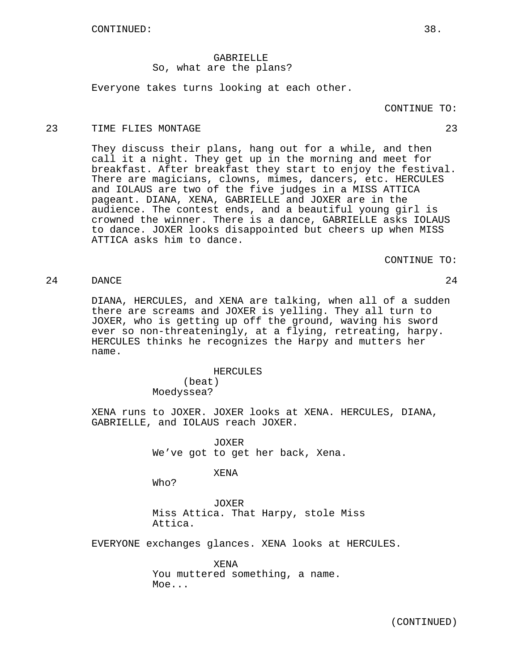## GABRIELLE So, what are the plans?

Everyone takes turns looking at each other.

## 23 TIME FLIES MONTAGE 23

They discuss their plans, hang out for a while, and then call it a night. They get up in the morning and meet for breakfast. After breakfast they start to enjoy the festival. There are magicians, clowns, mimes, dancers, etc. HERCULES and IOLAUS are two of the five judges in a MISS ATTICA pageant. DIANA, XENA, GABRIELLE and JOXER are in the audience. The contest ends, and a beautiful young girl is crowned the winner. There is a dance, GABRIELLE asks IOLAUS to dance. JOXER looks disappointed but cheers up when MISS ATTICA asks him to dance.

CONTINUE TO:

24 DANCE 24

DIANA, HERCULES, and XENA are talking, when all of a sudden there are screams and JOXER is yelling. They all turn to JOXER, who is getting up off the ground, waving his sword ever so non-threateningly, at a flying, retreating, harpy. HERCULES thinks he recognizes the Harpy and mutters her name.

HERCULES

(beat) Moedyssea?

XENA runs to JOXER. JOXER looks at XENA. HERCULES, DIANA, GABRIELLE, and IOLAUS reach JOXER.

> JOXER We've got to get her back, Xena.

#### XENA

Who?

JOXER Miss Attica. That Harpy, stole Miss Attica.

EVERYONE exchanges glances. XENA looks at HERCULES.

XENA You muttered something, a name. Moe...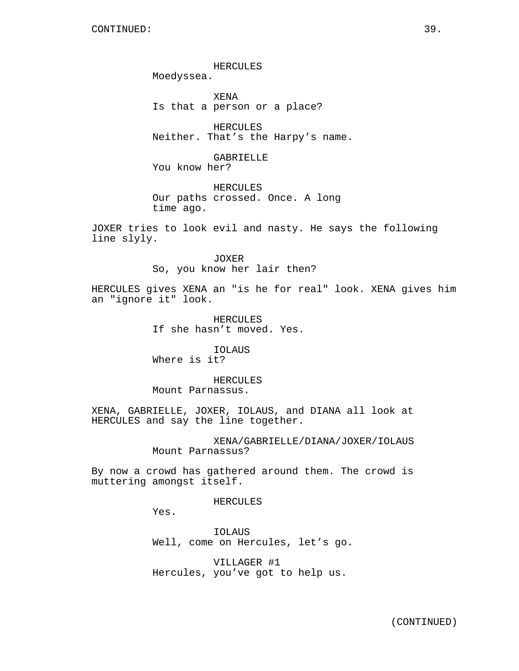HERCULES Moedyssea.

XENA Is that a person or a place?

HERCULES Neither. That's the Harpy's name.

GABRIELLE You know her?

HERCULES Our paths crossed. Once. A long time ago.

JOXER tries to look evil and nasty. He says the following line slyly.

> JOXER So, you know her lair then?

HERCULES gives XENA an "is he for real" look. XENA gives him an "ignore it" look.

> HERCULES If she hasn't moved. Yes.

IOLAUS Where is it?

HERCULES Mount Parnassus.

XENA, GABRIELLE, JOXER, IOLAUS, and DIANA all look at HERCULES and say the line together.

> XENA/GABRIELLE/DIANA/JOXER/IOLAUS Mount Parnassus?

By now a crowd has gathered around them. The crowd is muttering amongst itself.

HERCULES

Yes.

IOLAUS Well, come on Hercules, let's go.

VILLAGER #1 Hercules, you've got to help us.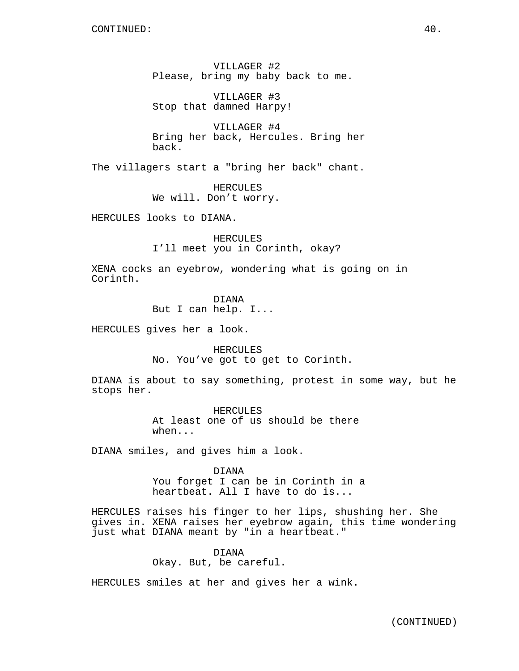VILLAGER #2 Please, bring my baby back to me.

VILLAGER #3 Stop that damned Harpy!

VILLAGER #4 Bring her back, Hercules. Bring her back.

The villagers start a "bring her back" chant.

HERCULES We will. Don't worry.

HERCULES looks to DIANA.

HERCULES I'll meet you in Corinth, okay?

XENA cocks an eyebrow, wondering what is going on in Corinth.

> DIANA But I can help. I...

HERCULES gives her a look.

HERCULES No. You've got to get to Corinth.

DIANA is about to say something, protest in some way, but he stops her.

> HERCULES At least one of us should be there when...

DIANA smiles, and gives him a look.

DIANA You forget I can be in Corinth in a heartbeat. All I have to do is...

HERCULES raises his finger to her lips, shushing her. She gives in. XENA raises her eyebrow again, this time wondering just what DIANA meant by "in a heartbeat."

> DIANA Okay. But, be careful.

HERCULES smiles at her and gives her a wink.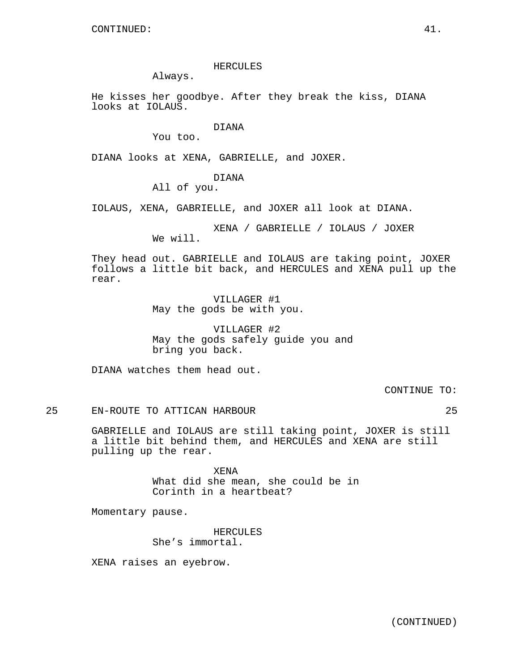## HERCULES

Always.

He kisses her goodbye. After they break the kiss, DIANA looks at IOLAUS.

## DIANA

You too.

DIANA looks at XENA, GABRIELLE, and JOXER.

### DIANA

All of you.

IOLAUS, XENA, GABRIELLE, and JOXER all look at DIANA.

XENA / GABRIELLE / IOLAUS / JOXER We will.

They head out. GABRIELLE and IOLAUS are taking point, JOXER follows a little bit back, and HERCULES and XENA pull up the rear.

> VILLAGER #1 May the gods be with you.

VILLAGER #2 May the gods safely guide you and bring you back.

DIANA watches them head out.

CONTINUE TO:

# 25 EN-ROUTE TO ATTICAN HARBOUR 25

GABRIELLE and IOLAUS are still taking point, JOXER is still a little bit behind them, and HERCULES and XENA are still pulling up the rear.

> XENA What did she mean, she could be in Corinth in a heartbeat?

Momentary pause.

HERCULES She's immortal.

XENA raises an eyebrow.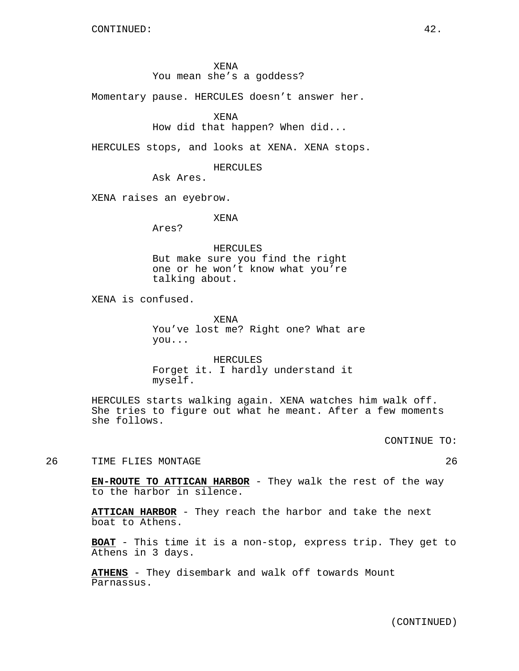XENA

## You mean she's a goddess?

Momentary pause. HERCULES doesn't answer her.

```
XENA
```
## How did that happen? When did...

HERCULES stops, and looks at XENA. XENA stops.

HERCULES

Ask Ares.

XENA raises an eyebrow.

XENA

Ares?

HERCULES But make sure you find the right one or he won't know what you're talking about.

XENA is confused.

XENA You've lost me? Right one? What are you...

HERCULES Forget it. I hardly understand it myself.

HERCULES starts walking again. XENA watches him walk off. She tries to figure out what he meant. After a few moments she follows.

CONTINUE TO:

26 TIME FLIES MONTAGE 26 26

**EN-ROUTE TO ATTICAN HARBOR** - They walk the rest of the way to the harbor in silence.

**ATTICAN HARBOR** - They reach the harbor and take the next boat to Athens.

**BOAT** - This time it is a non-stop, express trip. They get to Athens in 3 days.

**ATHENS** - They disembark and walk off towards Mount Parnassus.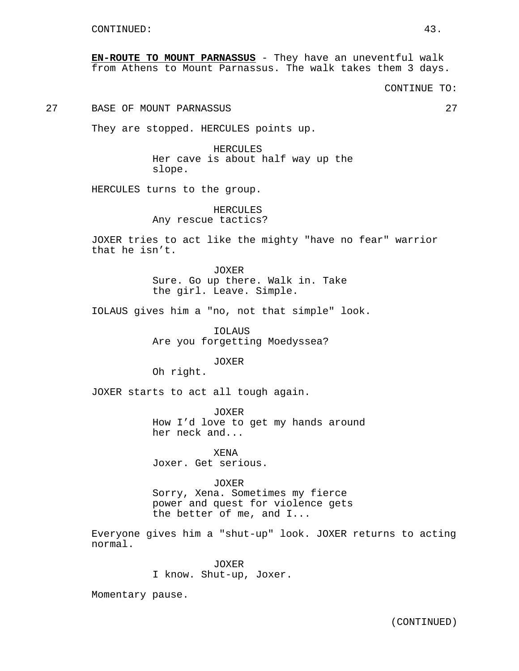**EN-ROUTE TO MOUNT PARNASSUS** - They have an uneventful walk from Athens to Mount Parnassus. The walk takes them 3 days.

CONTINUE TO:

27 BASE OF MOUNT PARNASSUS 27

They are stopped. HERCULES points up.

HERCULES Her cave is about half way up the slope.

HERCULES turns to the group.

HERCULES Any rescue tactics?

JOXER tries to act like the mighty "have no fear" warrior that he isn't.

> JOXER Sure. Go up there. Walk in. Take the girl. Leave. Simple.

IOLAUS gives him a "no, not that simple" look.

IOLAUS Are you forgetting Moedyssea?

JOXER

Oh right.

JOXER starts to act all tough again.

JOXER How I'd love to get my hands around her neck and...

XENA Joxer. Get serious.

JOXER Sorry, Xena. Sometimes my fierce power and quest for violence gets the better of me, and I...

Everyone gives him a "shut-up" look. JOXER returns to acting normal.

> JOXER I know. Shut-up, Joxer.

Momentary pause.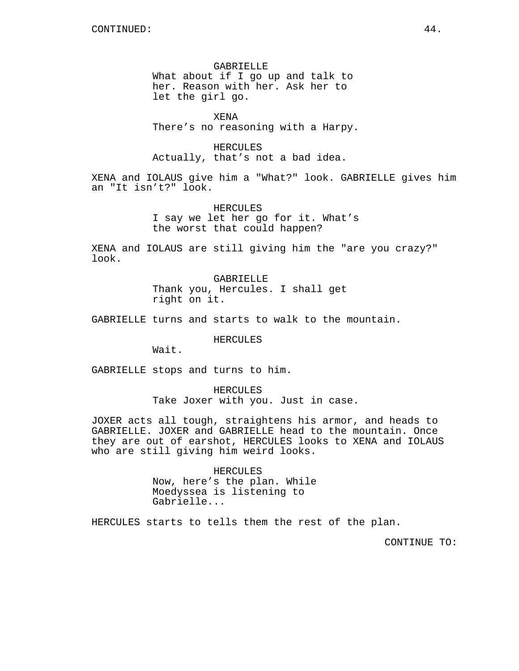GABRIELLE What about if I go up and talk to her. Reason with her. Ask her to let the girl go.

XENA There's no reasoning with a Harpy.

HERCULES Actually, that's not a bad idea.

XENA and IOLAUS give him a "What?" look. GABRIELLE gives him an "It isn't?" look.

> HERCULES I say we let her go for it. What's the worst that could happen?

XENA and IOLAUS are still giving him the "are you crazy?" look.

> GABRIELLE Thank you, Hercules. I shall get right on it.

GABRIELLE turns and starts to walk to the mountain.

HERCULES

Wait.

GABRIELLE stops and turns to him.

HERCULES Take Joxer with you. Just in case.

JOXER acts all tough, straightens his armor, and heads to GABRIELLE. JOXER and GABRIELLE head to the mountain. Once they are out of earshot, HERCULES looks to XENA and IOLAUS who are still giving him weird looks.

> HERCULES Now, here's the plan. While Moedyssea is listening to Gabrielle...

HERCULES starts to tells them the rest of the plan.

CONTINUE TO: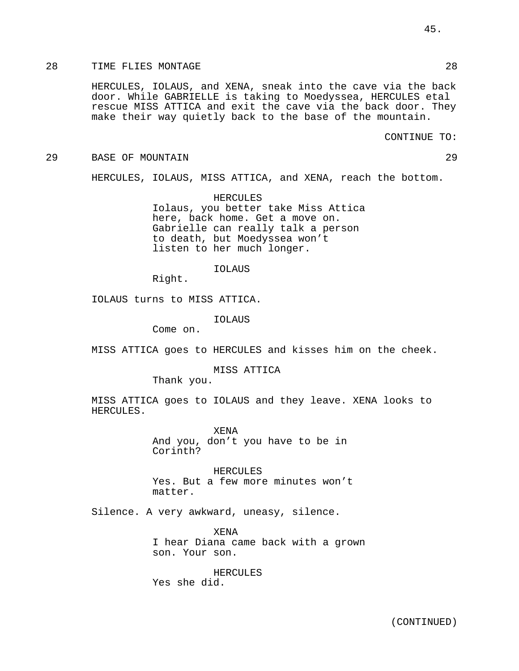## 28 TIME FLIES MONTAGE 28 28

HERCULES, IOLAUS, and XENA, sneak into the cave via the back door. While GABRIELLE is taking to Moedyssea, HERCULES etal rescue MISS ATTICA and exit the cave via the back door. They make their way quietly back to the base of the mountain.

CONTINUE TO:

#### 29 BASE OF MOUNTAIN 29

HERCULES, IOLAUS, MISS ATTICA, and XENA, reach the bottom.

HERCULES Iolaus, you better take Miss Attica here, back home. Get a move on. Gabrielle can really talk a person to death, but Moedyssea won't listen to her much longer.

### IOLAUS

Right.

IOLAUS turns to MISS ATTICA.

IOLAUS

Come on.

MISS ATTICA goes to HERCULES and kisses him on the cheek.

#### MISS ATTICA

Thank you.

MISS ATTICA goes to IOLAUS and they leave. XENA looks to HERCULES.

> XENA And you, don't you have to be in Corinth?

HERCULES Yes. But a few more minutes won't matter.

Silence. A very awkward, uneasy, silence.

XENA I hear Diana came back with a grown son. Your son.

HERCULES Yes she did.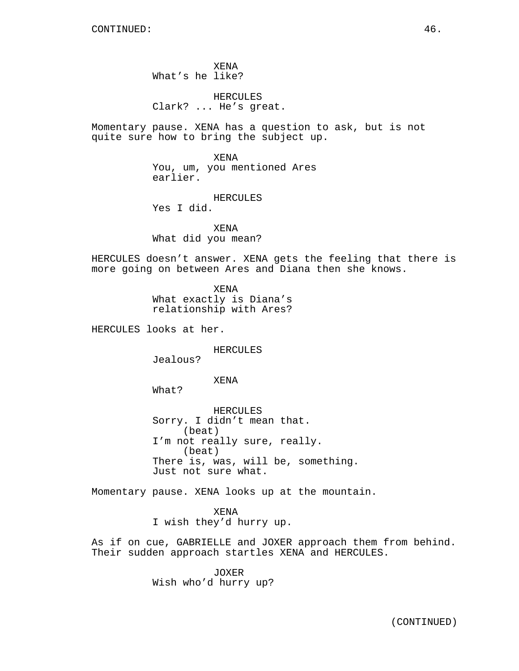XENA What's he like?

HERCULES Clark? ... He's great.

Momentary pause. XENA has a question to ask, but is not quite sure how to bring the subject up.

> XENA You, um, you mentioned Ares earlier.

HERCULES Yes I did.

XENA What did you mean?

HERCULES doesn't answer. XENA gets the feeling that there is more going on between Ares and Diana then she knows.

> XENA What exactly is Diana's relationship with Ares?

HERCULES looks at her.

HERCULES

Jealous?

XENA

What?

HERCULES Sorry. I didn't mean that. (beat) I'm not really sure, really. (beat) There is, was, will be, something. Just not sure what.

Momentary pause. XENA looks up at the mountain.

XENA I wish they'd hurry up.

As if on cue, GABRIELLE and JOXER approach them from behind. Their sudden approach startles XENA and HERCULES.

> JOXER Wish who'd hurry up?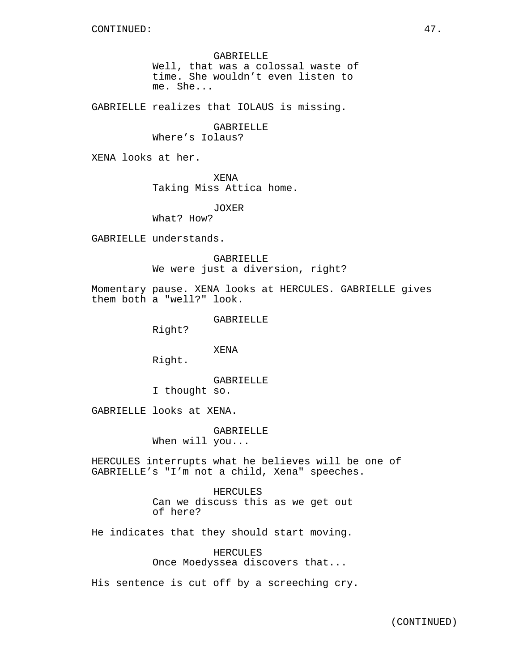GABRIELLE Well, that was a colossal waste of time. She wouldn't even listen to me. She...

GABRIELLE realizes that IOLAUS is missing.

GABRIELLE

Where's Iolaus?

XENA looks at her.

XENA Taking Miss Attica home.

JOXER

What? How?

GABRIELLE understands.

GABRIELLE We were just a diversion, right?

Momentary pause. XENA looks at HERCULES. GABRIELLE gives them both a "well?" look.

GABRIELLE

Right?

XENA

Right.

GABRIELLE

I thought so.

GABRIELLE looks at XENA.

GABRIELLE

When will you...

HERCULES interrupts what he believes will be one of GABRIELLE's "I'm not a child, Xena" speeches.

> HERCULES Can we discuss this as we get out of here?

He indicates that they should start moving.

HERCULES Once Moedyssea discovers that...

His sentence is cut off by a screeching cry.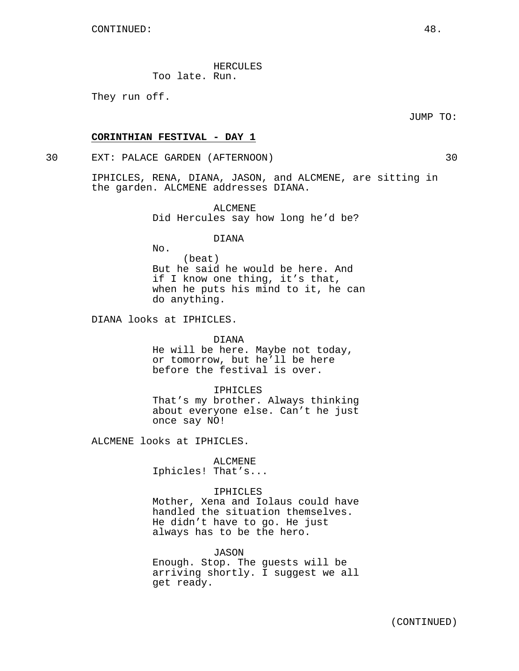HERCULES

Too late. Run.

They run off.

JUMP TO:

## **CORINTHIAN FESTIVAL - DAY 1**

30 EXT: PALACE GARDEN (AFTERNOON) 30

IPHICLES, RENA, DIANA, JASON, and ALCMENE, are sitting in the garden. ALCMENE addresses DIANA.

> ALCMENE Did Hercules say how long he'd be?

> > DIANA

No. (beat) But he said he would be here. And if I know one thing, it's that, when he puts his mind to it, he can do anything.

DIANA looks at IPHICLES.

#### DIANA

He will be here. Maybe not today, or tomorrow, but he'll be here before the festival is over.

#### IPHICLES

That's my brother. Always thinking about everyone else. Can't he just once say NO!

ALCMENE looks at IPHICLES.

ALCMENE Iphicles! That's...

#### IPHICLES

Mother, Xena and Iolaus could have handled the situation themselves. He didn't have to go. He just always has to be the hero.

JASON

Enough. Stop. The guests will be arriving shortly. I suggest we all get ready.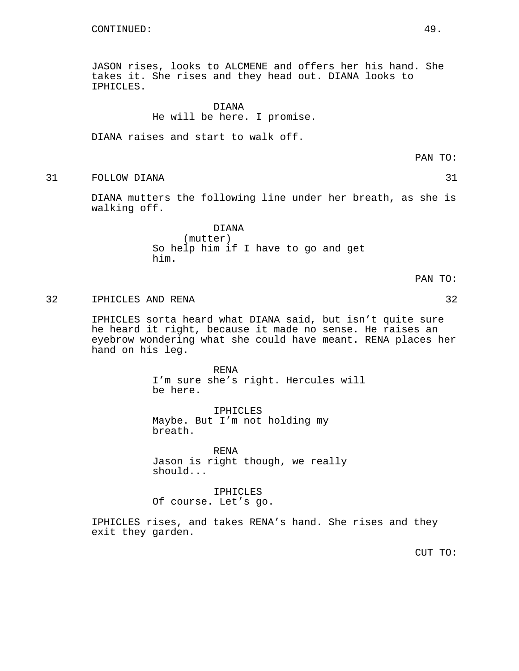JASON rises, looks to ALCMENE and offers her his hand. She takes it. She rises and they head out. DIANA looks to IPHICLES.

## DIANA He will be here. I promise.

DIANA raises and start to walk off.

PAN TO:

31 FOLLOW DIANA 31

DIANA mutters the following line under her breath, as she is walking off.

> DIANA (mutter) So help him if I have to go and get him.

> > PAN TO:

## 32 IPHICLES AND RENA 32

IPHICLES sorta heard what DIANA said, but isn't quite sure he heard it right, because it made no sense. He raises an eyebrow wondering what she could have meant. RENA places her hand on his leg.

> RENA I'm sure she's right. Hercules will be here.

IPHICLES Maybe. But I'm not holding my breath.

RENA Jason is right though, we really should...

IPHICLES Of course. Let's go.

IPHICLES rises, and takes RENA's hand. She rises and they exit they garden.

CUT TO: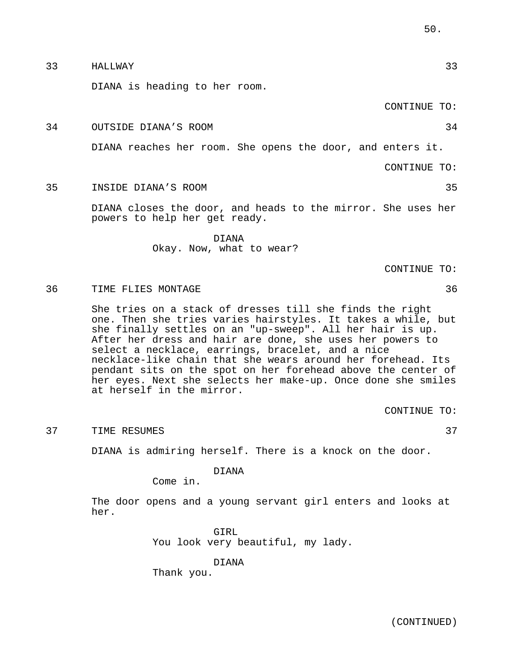| She tries on a stack of dresses till she finds the right<br>one. Then she tries varies hairstyles. It takes a while, but<br>she finally settles on an "up-sweep". All her hair is up.<br>After her dress and hair are done, she uses her powers to |
|----------------------------------------------------------------------------------------------------------------------------------------------------------------------------------------------------------------------------------------------------|
| select a necklace, earrings, bracelet, and a nice<br>necklace-like chain that she wears around her forehead. Its                                                                                                                                   |
| pendant sits on the spot on her forehead above the center of                                                                                                                                                                                       |
| her eyes. Next she selects her make-up. Once done she smiles                                                                                                                                                                                       |
| at herself in the mirror.                                                                                                                                                                                                                          |
| CONTINUE TO:                                                                                                                                                                                                                                       |
|                                                                                                                                                                                                                                                    |
| 37<br>TIME RESUMES                                                                                                                                                                                                                                 |
| DIANA is admiring herself. There is a knock on the door.                                                                                                                                                                                           |
| <b>DIANA</b>                                                                                                                                                                                                                                       |
| Come in.                                                                                                                                                                                                                                           |
| The door opens and a young servant girl enters and looks at<br>her.                                                                                                                                                                                |
| GIRL<br>You look very beautiful, my lady.                                                                                                                                                                                                          |
| DTANA<br>Thank you.                                                                                                                                                                                                                                |

## 36 TIME FLIES MONTAGE 36

37 TIME RESUMES 37

She tries on a one. Then she she finally set After her dress select a neckla necklace-like o pendant sits or her eyes. Next at herself in

DIANA Okay. Now, what to wear?

DIANA closes the door, and heads to the mirror. She uses her

DIANA reaches her room. She opens the door, and enters it.

33 HALLWAY 33

35 INSIDE DIANA'S ROOM 35

powers to help her get ready.

DIANA is heading to her room.

CONTINUE TO:

CONTINUE TO:

CONTINUE TO:

34 OUTSIDE DIANA'S ROOM 34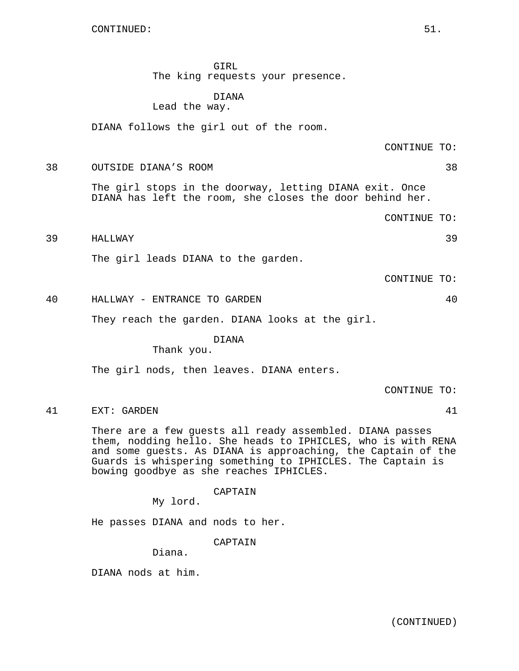GIRL The king requests your presence.

# DIANA

Lead the way.

DIANA follows the girl out of the room.

CONTINUE TO:

38 OUTSIDE DIANA'S ROOM 38

The girl stops in the doorway, letting DIANA exit. Once DIANA has left the room, she closes the door behind her.

CONTINUE TO:

39 HALLWAY 39

The girl leads DIANA to the garden.

CONTINUE TO:

40 HALLWAY - ENTRANCE TO GARDEN 40

They reach the garden. DIANA looks at the girl.

## DIANA

Thank you.

The girl nods, then leaves. DIANA enters.

CONTINUE TO:

41 EXT: GARDEN 41

There are a few guests all ready assembled. DIANA passes them, nodding hello. She heads to IPHICLES, who is with RENA and some guests. As DIANA is approaching, the Captain of the Guards is whispering something to IPHICLES. The Captain is bowing goodbye as she reaches IPHICLES.

CAPTAIN

My lord.

He passes DIANA and nods to her.

CAPTAIN

Diana.

DIANA nods at him.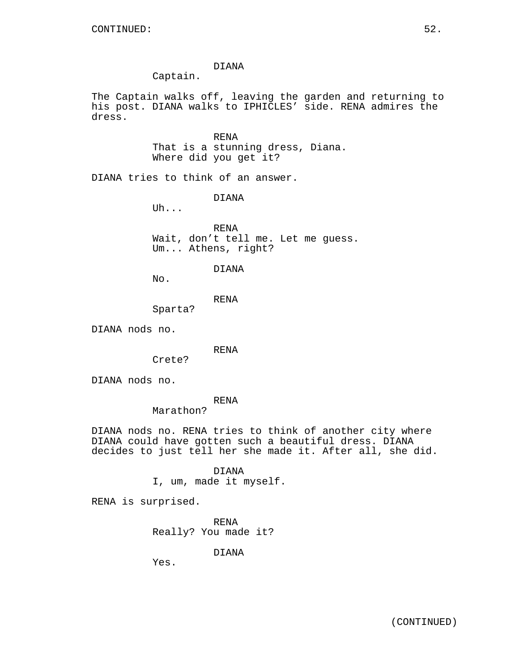## DIANA

Captain.

The Captain walks off, leaving the garden and returning to his post. DIANA walks to IPHICLES' side. RENA admires the dress.

> RENA That is a stunning dress, Diana. Where did you get it?

DIANA tries to think of an answer.

DIANA

Uh...

RENA Wait, don't tell me. Let me guess. Um... Athens, right?

## DIANA

No.

RENA

DIANA nods no.

RENA

Crete?

Sparta?

DIANA nods no.

RENA

Marathon?

DIANA nods no. RENA tries to think of another city where DIANA could have gotten such a beautiful dress. DIANA decides to just tell her she made it. After all, she did.

DIANA

I, um, made it myself.

RENA is surprised.

RENA Really? You made it?

DIANA

Yes.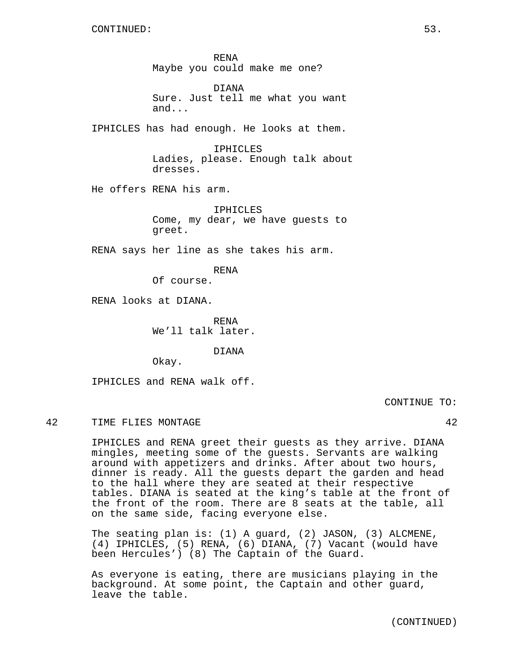RENA Maybe you could make me one?

DIANA Sure. Just tell me what you want and...

IPHICLES has had enough. He looks at them.

IPHICLES Ladies, please. Enough talk about dresses.

He offers RENA his arm.

IPHICLES Come, my dear, we have guests to greet.

RENA says her line as she takes his arm.

RENA

Of course.

RENA looks at DIANA.

RENA We'll talk later.

DIANA

Okay.

IPHICLES and RENA walk off.

CONTINUE TO:

#### 42 TIME FLIES MONTAGE 42

IPHICLES and RENA greet their guests as they arrive. DIANA mingles, meeting some of the guests. Servants are walking around with appetizers and drinks. After about two hours, dinner is ready. All the guests depart the garden and head to the hall where they are seated at their respective tables. DIANA is seated at the king's table at the front of the front of the room. There are 8 seats at the table, all on the same side, facing everyone else.

The seating plan is: (1) A guard, (2) JASON, (3) ALCMENE, (4) IPHICLES, (5) RENA, (6) DIANA, (7) Vacant (would have been Hercules') (8) The Captain of the Guard.

As everyone is eating, there are musicians playing in the background. At some point, the Captain and other guard, leave the table.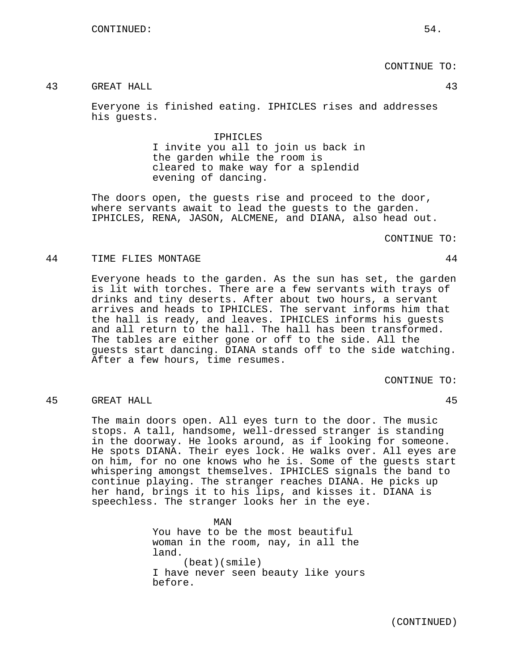## CONTINUE TO:

## 43 GREAT HALL 43

Everyone is finished eating. IPHICLES rises and addresses his guests.

> IPHICLES I invite you all to join us back in the garden while the room is cleared to make way for a splendid evening of dancing.

The doors open, the guests rise and proceed to the door, where servants await to lead the guests to the garden. IPHICLES, RENA, JASON, ALCMENE, and DIANA, also head out.

#### CONTINUE TO:

## 44 TIME FLIES MONTAGE 44

Everyone heads to the garden. As the sun has set, the garden is lit with torches. There are a few servants with trays of drinks and tiny deserts. After about two hours, a servant arrives and heads to IPHICLES. The servant informs him that the hall is ready, and leaves. IPHICLES informs his guests and all return to the hall. The hall has been transformed. The tables are either gone or off to the side. All the guests start dancing. DIANA stands off to the side watching. After a few hours, time resumes.

CONTINUE TO:

#### 45 GREAT HALL 45

The main doors open. All eyes turn to the door. The music stops. A tall, handsome, well-dressed stranger is standing in the doorway. He looks around, as if looking for someone. He spots DIANA. Their eyes lock. He walks over. All eyes are on him, for no one knows who he is. Some of the guests start whispering amongst themselves. IPHICLES signals the band to continue playing. The stranger reaches DIANA. He picks up her hand, brings it to his lips, and kisses it. DIANA is speechless. The stranger looks her in the eye.

> MAN You have to be the most beautiful woman in the room, nay, in all the land. (beat)(smile) I have never seen beauty like yours before.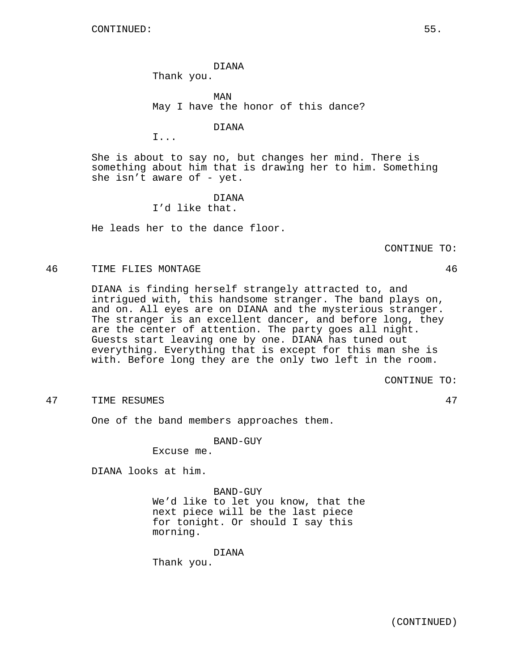DIANA Thank you.

MAN May I have the honor of this dance?

DIANA

I...

She is about to say no, but changes her mind. There is something about him that is drawing her to him. Something she isn't aware of - yet.

> DIANA I'd like that.

He leads her to the dance floor.

CONTINUE TO:

46 TIME FLIES MONTAGE 46

DIANA is finding herself strangely attracted to, and intrigued with, this handsome stranger. The band plays on, and on. All eyes are on DIANA and the mysterious stranger. The stranger is an excellent dancer, and before long, they are the center of attention. The party goes all night. Guests start leaving one by one. DIANA has tuned out everything. Everything that is except for this man she is with. Before long they are the only two left in the room.

CONTINUE TO:

47 TIME RESUMES 47

One of the band members approaches them.

BAND-GUY

Excuse me.

DIANA looks at him.

BAND-GUY We'd like to let you know, that the next piece will be the last piece for tonight. Or should I say this morning.

DIANA

Thank you.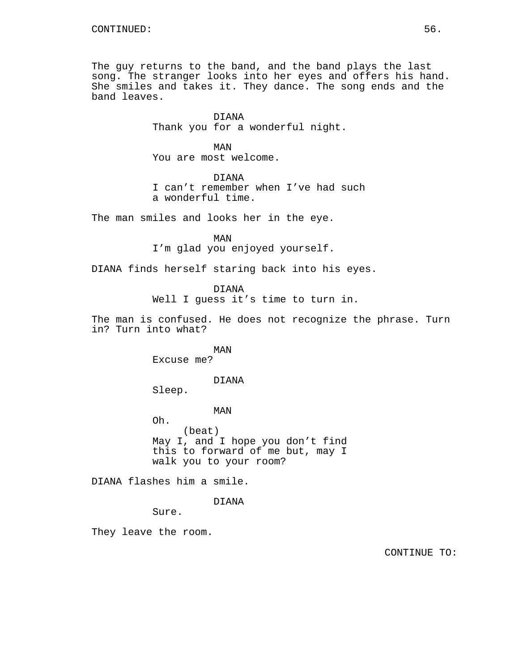The guy returns to the band, and the band plays the last song. The stranger looks into her eyes and offers his hand. She smiles and takes it. They dance. The song ends and the band leaves.

> DIANA Thank you for a wonderful night.

MAN You are most welcome.

DIANA I can't remember when I've had such a wonderful time.

The man smiles and looks her in the eye.

MAN I'm glad you enjoyed yourself.

DIANA finds herself staring back into his eyes.

DIANA

Well I guess it's time to turn in.

The man is confused. He does not recognize the phrase. Turn in? Turn into what?

> MAN Excuse me?

#### DIANA

Sleep.

MAN

Oh. (beat) May I, and I hope you don't find this to forward of me but, may I walk you to your room?

DIANA flashes him a smile.

DIANA

Sure.

They leave the room.

CONTINUE TO: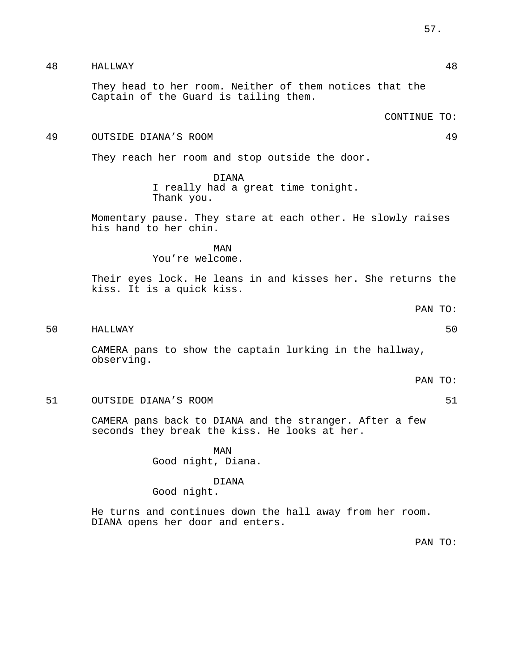They head to her room. Neither of them notices that the Captain of the Guard is tailing them.

CONTINUE TO:

### 49 OUTSIDE DIANA'S ROOM 49

They reach her room and stop outside the door.

DIANA I really had a great time tonight. Thank you.

Momentary pause. They stare at each other. He slowly raises his hand to her chin.

MAN

You're welcome.

Their eyes lock. He leans in and kisses her. She returns the kiss. It is a quick kiss.

PAN TO:

50 HALLWAY 50

CAMERA pans to show the captain lurking in the hallway, observing.

PAN TO:

51 OUTSIDE DIANA'S ROOM 51

CAMERA pans back to DIANA and the stranger. After a few seconds they break the kiss. He looks at her.

> MAN Good night, Diana.

# DIANA

Good night.

He turns and continues down the hall away from her room. DIANA opens her door and enters.

PAN TO: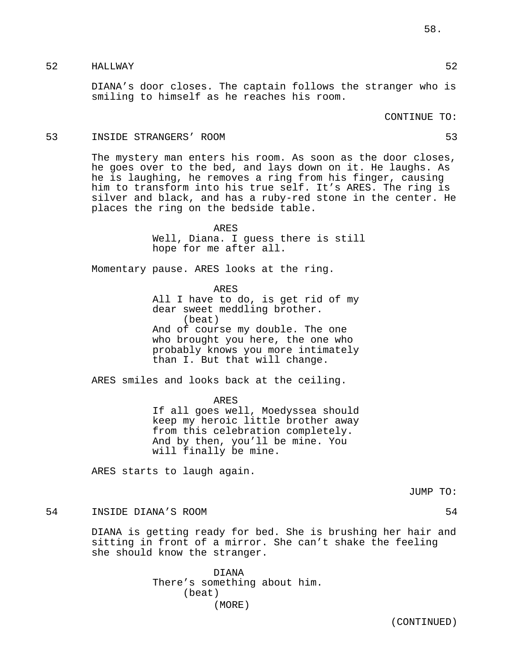## 52 HALLWAY 52

DIANA's door closes. The captain follows the stranger who is smiling to himself as he reaches his room.

CONTINUE TO:

#### 53 INSIDE STRANGERS' ROOM 53

The mystery man enters his room. As soon as the door closes, he goes over to the bed, and lays down on it. He laughs. As he is laughing, he removes a ring from his finger, causing him to transform into his true self. It's ARES. The ring is silver and black, and has a ruby-red stone in the center. He places the ring on the bedside table.

> ARES Well, Diana. I guess there is still hope for me after all.

Momentary pause. ARES looks at the ring.

ARES All I have to do, is get rid of my dear sweet meddling brother. (beat) And of course my double. The one who brought you here, the one who probably knows you more intimately than I. But that will change.

ARES smiles and looks back at the ceiling.

ARES If all goes well, Moedyssea should keep my heroic little brother away from this celebration completely. And by then, you'll be mine. You will finally be mine.

ARES starts to laugh again.

JUMP TO:

## 54 INSIDE DIANA'S ROOM 54

DIANA is getting ready for bed. She is brushing her hair and sitting in front of a mirror. She can't shake the feeling she should know the stranger.

> DIANA There's something about him. (beat) (MORE)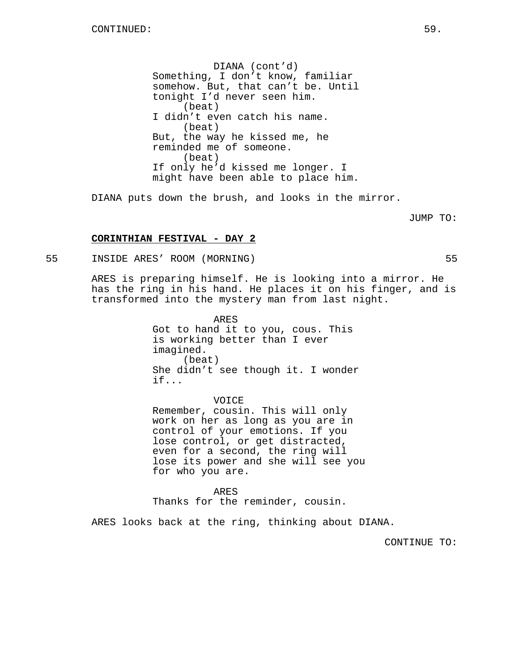DIANA (cont'd) Something, I don't know, familiar somehow. But, that can't be. Until tonight I'd never seen him. (beat) I didn't even catch his name. (beat) But, the way he kissed me, he reminded me of someone. (beat) If only he'd kissed me longer. I might have been able to place him.

DIANA puts down the brush, and looks in the mirror.

JUMP TO:

## **CORINTHIAN FESTIVAL - DAY 2**

55 INSIDE ARES' ROOM (MORNING) 55

ARES is preparing himself. He is looking into a mirror. He has the ring in his hand. He places it on his finger, and is transformed into the mystery man from last night.

> ARES Got to hand it to you, cous. This is working better than I ever imagined. (beat) She didn't see though it. I wonder if...

VOICE Remember, cousin. This will only work on her as long as you are in control of your emotions. If you lose control, or get distracted, even for a second, the ring will lose its power and she will see you for who you are.

ARES Thanks for the reminder, cousin.

ARES looks back at the ring, thinking about DIANA.

CONTINUE TO: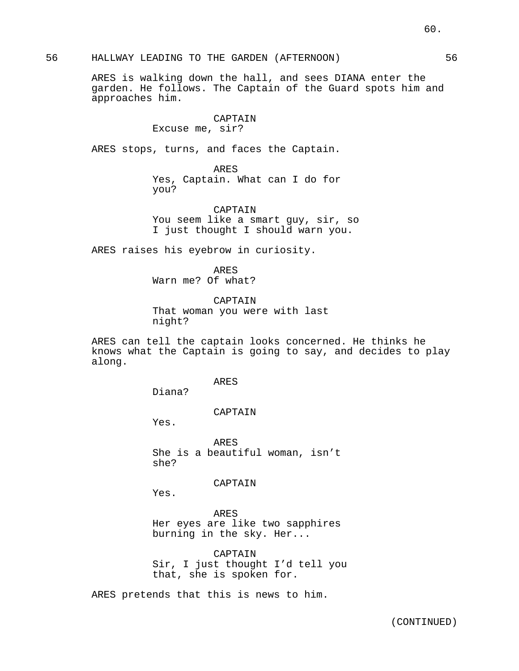56 HALLWAY LEADING TO THE GARDEN (AFTERNOON) 56

ARES is walking down the hall, and sees DIANA enter the garden. He follows. The Captain of the Guard spots him and approaches him.

## CAPTAIN Excuse me, sir?

ARES stops, turns, and faces the Captain.

ARES Yes, Captain. What can I do for you?

CAPTAIN You seem like a smart guy, sir, so I just thought I should warn you.

ARES raises his eyebrow in curiosity.

ARES Warn me? Of what?

CAPTAIN That woman you were with last night?

ARES can tell the captain looks concerned. He thinks he knows what the Captain is going to say, and decides to play along.

ARES

Diana?

CAPTAIN

Yes.

ARES She is a beautiful woman, isn't she?

CAPTAIN

Yes.

ARES Her eyes are like two sapphires burning in the sky. Her...

CAPTAIN Sir, I just thought I'd tell you that, she is spoken for.

ARES pretends that this is news to him.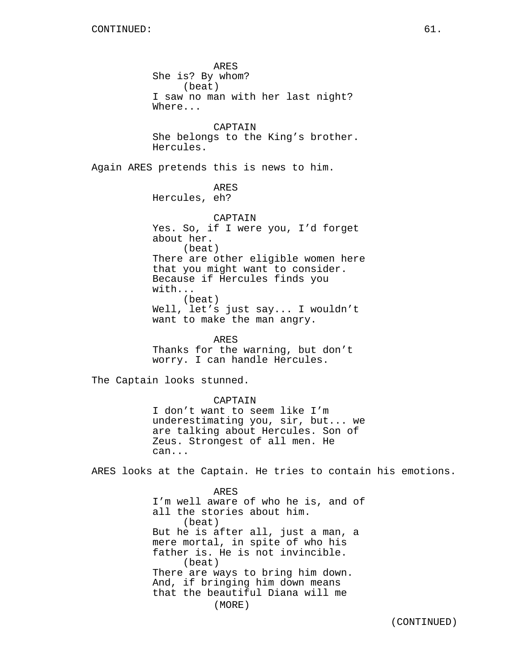ARES She is? By whom? (beat) I saw no man with her last night? Where... CAPTAIN She belongs to the King's brother. Hercules. Again ARES pretends this is news to him. ARES Hercules, eh? CAPTAIN Yes. So, if I were you, I'd forget about her. (beat) There are other eligible women here that you might want to consider. Because if Hercules finds you with... (beat) Well, let's just say... I wouldn't want to make the man angry. ARES Thanks for the warning, but don't worry. I can handle Hercules. The Captain looks stunned. CAPTAIN I don't want to seem like I'm underestimating you, sir, but... we are talking about Hercules. Son of Zeus. Strongest of all men. He can... ARES looks at the Captain. He tries to contain his emotions. ARES I'm well aware of who he is, and of all the stories about him. (beat) But he is after all, just a man, a mere mortal, in spite of who his father is. He is not invincible. (beat) There are ways to bring him down.

And, if bringing him down means

that the beautiful Diana will me (MORE)

(CONTINUED)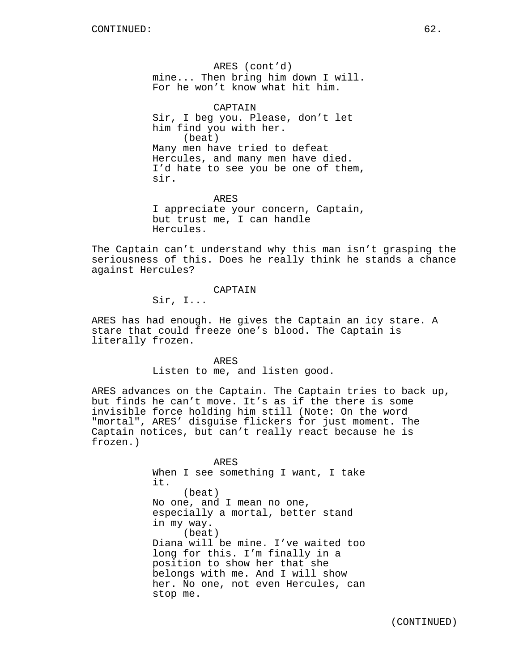ARES (cont'd) mine... Then bring him down I will. For he won't know what hit him.

CAPTAIN Sir, I beg you. Please, don't let him find you with her. (beat) Many men have tried to defeat Hercules, and many men have died. I'd hate to see you be one of them, sir.

ARES I appreciate your concern, Captain, but trust me, I can handle Hercules.

The Captain can't understand why this man isn't grasping the seriousness of this. Does he really think he stands a chance against Hercules?

CAPTAIN

Sir, I...

ARES has had enough. He gives the Captain an icy stare. A stare that could freeze one's blood. The Captain is literally frozen.

> ARES Listen to me, and listen good.

ARES advances on the Captain. The Captain tries to back up, but finds he can't move. It's as if the there is some invisible force holding him still (Note: On the word "mortal", ARES' disguise flickers for just moment. The Captain notices, but can't really react because he is frozen.)

> ARES When I see something I want, I take it. (beat) No one, and I mean no one, especially a mortal, better stand in my way. (beat) Diana will be mine. I've waited too long for this. I'm finally in a position to show her that she belongs with me. And I will show her. No one, not even Hercules, can stop me.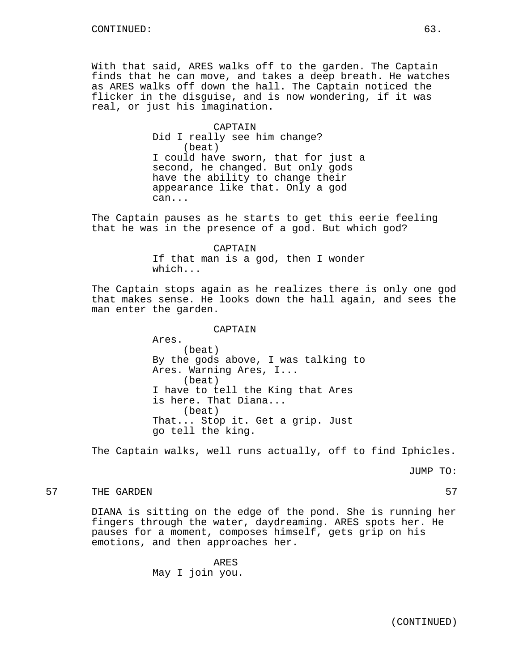With that said, ARES walks off to the garden. The Captain finds that he can move, and takes a deep breath. He watches as ARES walks off down the hall. The Captain noticed the flicker in the disguise, and is now wondering, if it was real, or just his imagination.

> CAPTAIN Did I really see him change? (beat) I could have sworn, that for just a second, he changed. But only gods have the ability to change their appearance like that. Only a god can...

The Captain pauses as he starts to get this eerie feeling that he was in the presence of a god. But which god?

> CAPTAIN If that man is a god, then I wonder which...

The Captain stops again as he realizes there is only one god that makes sense. He looks down the hall again, and sees the man enter the garden.

CAPTAIN

Ares. (beat) By the gods above, I was talking to Ares. Warning Ares, I... (beat) I have to tell the King that Ares is here. That Diana... (beat) That... Stop it. Get a grip. Just go tell the king.

The Captain walks, well runs actually, off to find Iphicles.

JUMP TO:

57 THE GARDEN 57

DIANA is sitting on the edge of the pond. She is running her fingers through the water, daydreaming. ARES spots her. He pauses for a moment, composes himself, gets grip on his emotions, and then approaches her.

> ARES May I join you.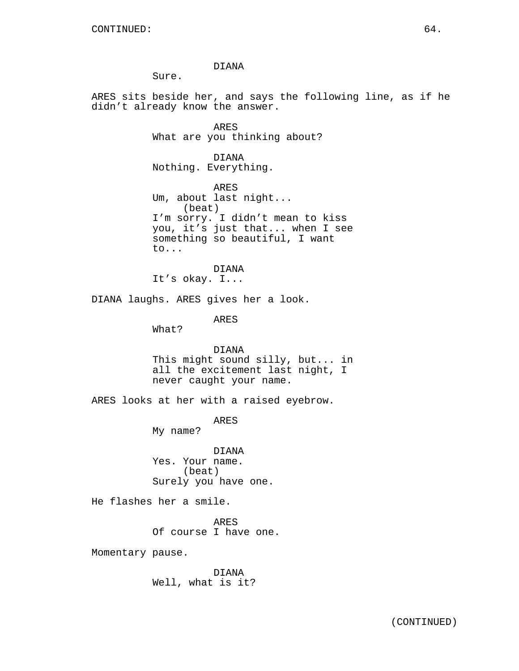DIANA

Sure.

ARES sits beside her, and says the following line, as if he didn't already know the answer.

> ARES What are you thinking about?

DIANA Nothing. Everything.

ARES Um, about last night... (beat) I'm sorry. I didn't mean to kiss you, it's just that... when I see something so beautiful, I want to...

DIANA It's okay. I...

DIANA laughs. ARES gives her a look.

ARES

What?

DIANA This might sound silly, but... in all the excitement last night, I never caught your name.

ARES looks at her with a raised eyebrow.

ARES

My name?

DIANA Yes. Your name. (beat) Surely you have one.

He flashes her a smile.

ARES Of course I have one.

Momentary pause.

DIANA Well, what is it?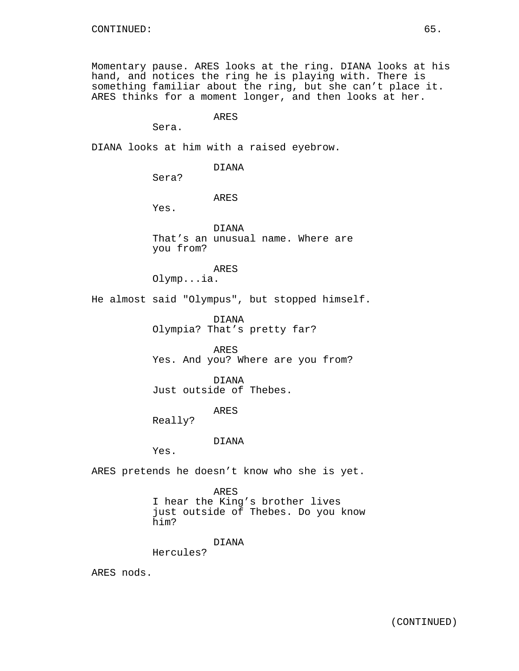Momentary pause. ARES looks at the ring. DIANA looks at his hand, and notices the ring he is playing with. There is something familiar about the ring, but she can't place it. ARES thinks for a moment longer, and then looks at her.

ARES

Sera.

DIANA looks at him with a raised eyebrow.

DIANA

Sera?

ARES

Yes.

DIANA That's an unusual name. Where are you from?

ARES

Olymp...ia.

He almost said "Olympus", but stopped himself.

DIANA Olympia? That's pretty far?

ARES Yes. And you? Where are you from?

DIANA Just outside of Thebes.

ARES

Really?

#### DIANA

Yes.

ARES pretends he doesn't know who she is yet.

ARES I hear the King's brother lives just outside of Thebes. Do you know him?

DIANA

Hercules?

ARES nods.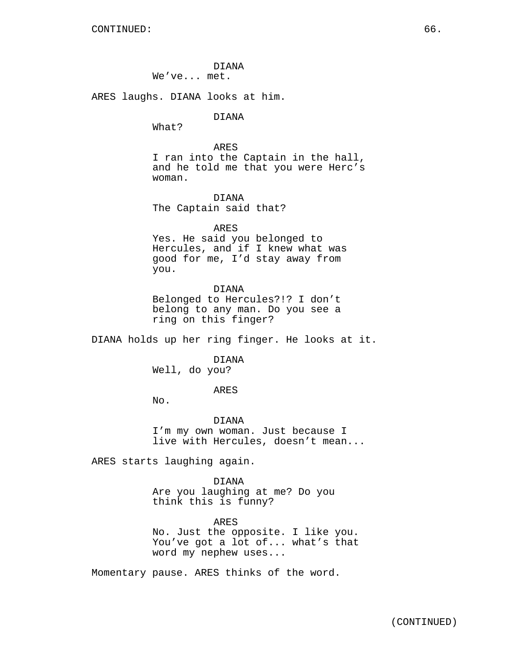DIANA We've... met.

ARES laughs. DIANA looks at him.

## DIANA

What?

ARES I ran into the Captain in the hall, and he told me that you were Herc's woman.

DIANA The Captain said that?

### ARES

Yes. He said you belonged to Hercules, and if I knew what was good for me, I'd stay away from you.

DIANA

Belonged to Hercules?!? I don't belong to any man. Do you see a ring on this finger?

DIANA holds up her ring finger. He looks at it.

DIANA

Well, do you?

ARES

No.

DIANA I'm my own woman. Just because I live with Hercules, doesn't mean...

ARES starts laughing again.

DIANA

Are you laughing at me? Do you think this is funny?

ARES No. Just the opposite. I like you. You've got a lot of... what's that word my nephew uses...

Momentary pause. ARES thinks of the word.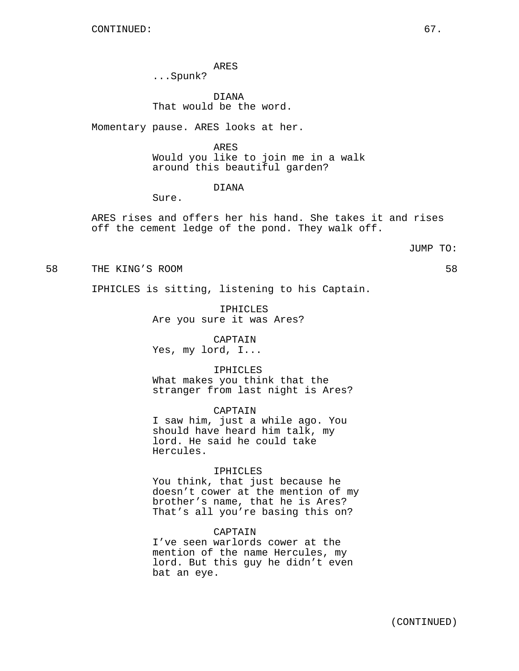ARES

...Spunk?

DIANA That would be the word.

Momentary pause. ARES looks at her.

ARES Would you like to join me in a walk around this beautiful garden?

## DIANA

Sure.

ARES rises and offers her his hand. She takes it and rises off the cement ledge of the pond. They walk off.

#### JUMP TO:

58 THE KING'S ROOM 58

IPHICLES is sitting, listening to his Captain.

IPHICLES Are you sure it was Ares?

CAPTAIN Yes, my lord, I...

Hercules.

## IPHICLES

What makes you think that the stranger from last night is Ares?

CAPTAIN I saw him, just a while ago. You should have heard him talk, my lord. He said he could take

#### IPHICLES

You think, that just because he doesn't cower at the mention of my brother's name, that he is Ares? That's all you're basing this on?

### CAPTAIN

I've seen warlords cower at the mention of the name Hercules, my lord. But this guy he didn't even bat an eye.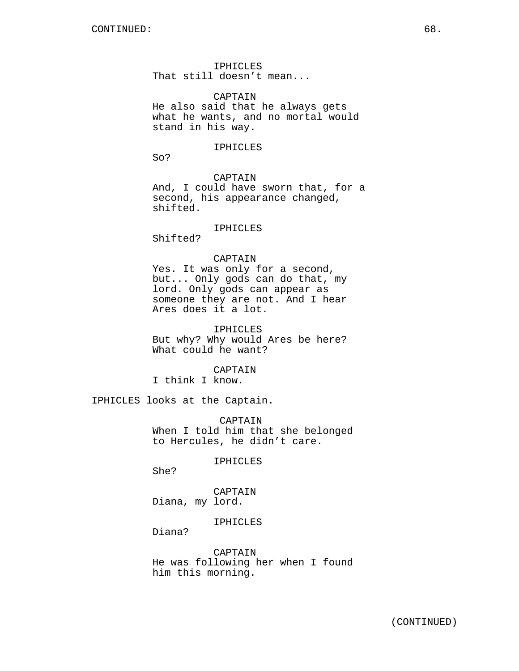IPHICLES That still doesn't mean...

CAPTAIN He also said that he always gets what he wants, and no mortal would stand in his way.

#### IPHICLES

So?

## CAPTAIN

And, I could have sworn that, for a second, his appearance changed, shifted.

## IPHICLES

Shifted?

## CAPTAIN

Yes. It was only for a second, but... Only gods can do that, my lord. Only gods can appear as someone they are not. And I hear Ares does it a lot.

IPHICLES But why? Why would Ares be here? What could he want?

## CAPTAIN

I think I know.

IPHICLES looks at the Captain.

CAPTAIN When I told him that she belonged to Hercules, he didn't care.

IPHICLES

She?

CAPTAIN Diana, my lord.

IPHICLES

Diana?

CAPTAIN He was following her when I found him this morning.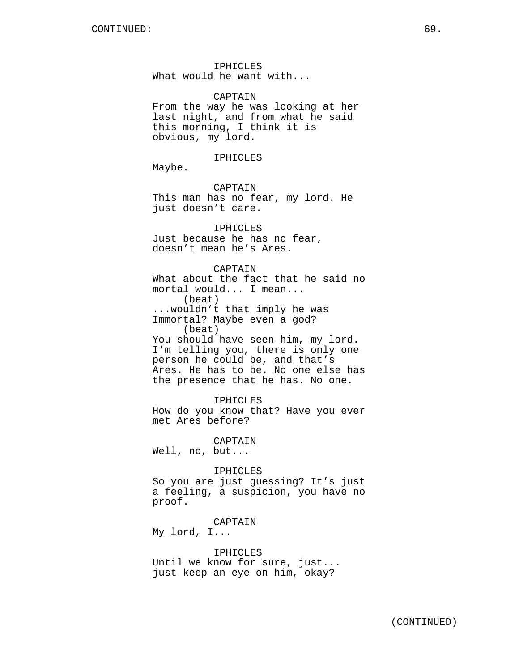IPHICLES What would he want with...

CAPTAIN From the way he was looking at her last night, and from what he said this morning, I think it is obvious, my lord.

#### IPHICLES

Maybe.

CAPTAIN This man has no fear, my lord. He just doesn't care.

IPHICLES Just because he has no fear, doesn't mean he's Ares.

## CAPTAIN

What about the fact that he said no mortal would... I mean... (beat) ...wouldn't that imply he was Immortal? Maybe even a god? (beat) You should have seen him, my lord. I'm telling you, there is only one person he could be, and that's Ares. He has to be. No one else has the presence that he has. No one.

IPHICLES How do you know that? Have you ever met Ares before?

CAPTAIN

Well, no, but...

#### IPHICLES

So you are just guessing? It's just a feeling, a suspicion, you have no proof.

CAPTAIN My lord, I...

IPHICLES Until we know for sure, just... just keep an eye on him, okay?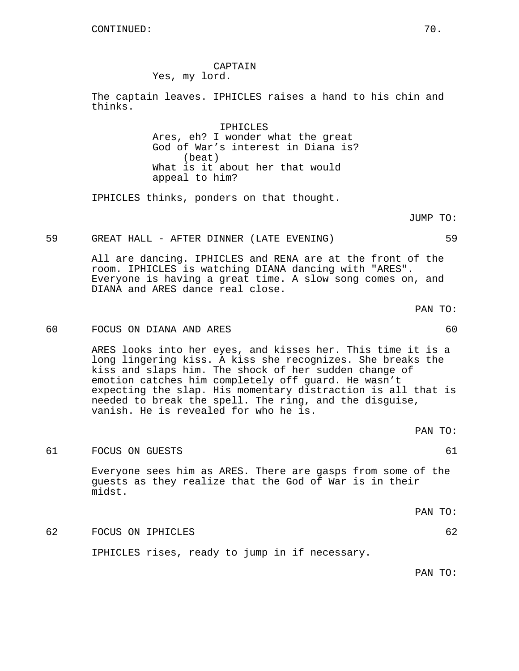CAPTAIN

Yes, my lord.

The captain leaves. IPHICLES raises a hand to his chin and thinks.

> IPHICLES Ares, eh? I wonder what the great God of War's interest in Diana is? (beat) What is it about her that would appeal to him?

IPHICLES thinks, ponders on that thought.

JUMP TO:

59 GREAT HALL - AFTER DINNER (LATE EVENING) 59

All are dancing. IPHICLES and RENA are at the front of the room. IPHICLES is watching DIANA dancing with "ARES". Everyone is having a great time. A slow song comes on, and DIANA and ARES dance real close.

PAN TO:

## 60 FOCUS ON DIANA AND ARES 60

ARES looks into her eyes, and kisses her. This time it is a long lingering kiss. A kiss she recognizes. She breaks the kiss and slaps him. The shock of her sudden change of emotion catches him completely off guard. He wasn't expecting the slap. His momentary distraction is all that is needed to break the spell. The ring, and the disguise, vanish. He is revealed for who he is.

61 FOCUS ON GUESTS 61

Everyone sees him as ARES. There are gasps from some of the guests as they realize that the God of War is in their midst.

PAN TO:

PAN TO:

62 FOCUS ON IPHICLES 62

IPHICLES rises, ready to jump in if necessary.

PAN TO: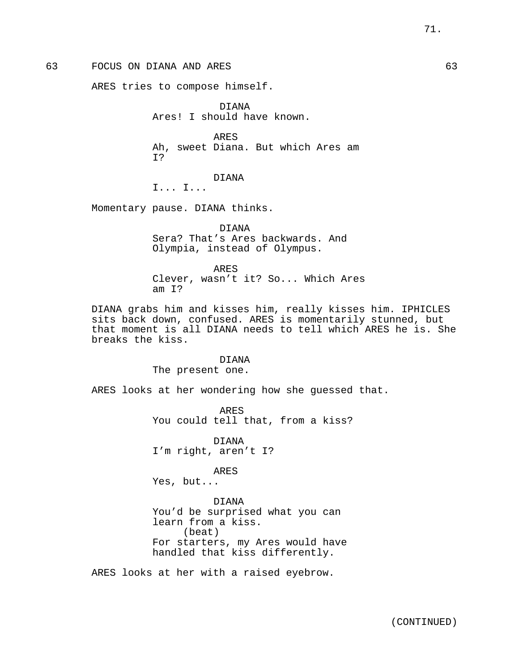ARES tries to compose himself.

DIANA Ares! I should have known.

ARES Ah, sweet Diana. But which Ares am I?

DIANA

I... I...

Momentary pause. DIANA thinks.

DIANA Sera? That's Ares backwards. And Olympia, instead of Olympus.

ARES Clever, wasn't it? So... Which Ares am I?

DIANA grabs him and kisses him, really kisses him. IPHICLES sits back down, confused. ARES is momentarily stunned, but that moment is all DIANA needs to tell which ARES he is. She breaks the kiss.

> DIANA The present one.

ARES looks at her wondering how she guessed that.

ARES You could tell that, from a kiss?

DIANA I'm right, aren't I?

ARES Yes, but...

DIANA You'd be surprised what you can learn from a kiss. (beat) For starters, my Ares would have handled that kiss differently.

ARES looks at her with a raised eyebrow.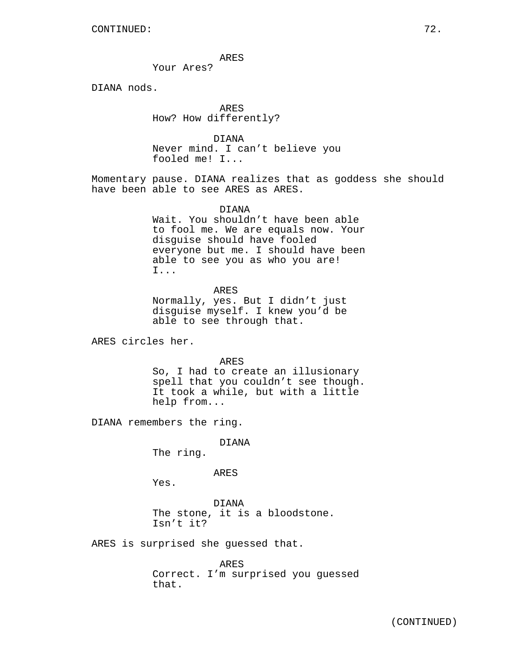ARES

Your Ares?

DIANA nods.

ARES How? How differently?

DIANA Never mind. I can't believe you fooled me! I...

Momentary pause. DIANA realizes that as goddess she should have been able to see ARES as ARES.

DIANA

Wait. You shouldn't have been able to fool me. We are equals now. Your disguise should have fooled everyone but me. I should have been able to see you as who you are! I...

ARES

Normally, yes. But I didn't just disguise myself. I knew you'd be able to see through that.

ARES circles her.

ARES

So, I had to create an illusionary spell that you couldn't see though. It took a while, but with a little help from...

DIANA remembers the ring.

DIANA

The ring.

ARES

Yes.

DIANA The stone, it is a bloodstone. Isn't it?

ARES is surprised she guessed that.

ARES Correct. I'm surprised you guessed that.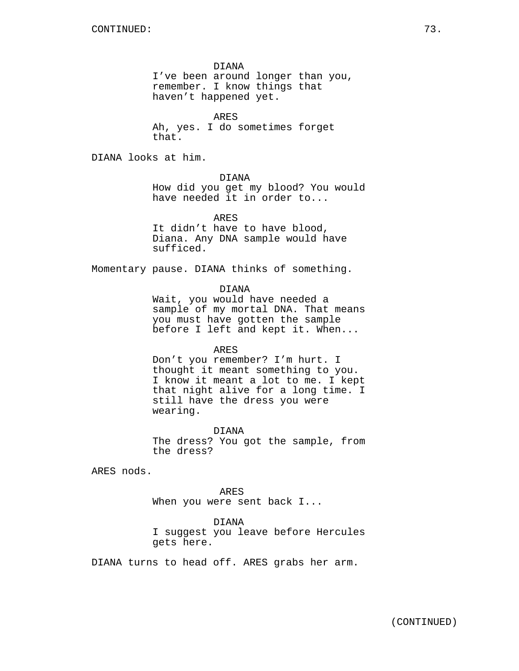DIANA

I've been around longer than you, remember. I know things that haven't happened yet.

ARES Ah, yes. I do sometimes forget that.

DIANA looks at him.

DIANA

How did you get my blood? You would have needed it in order to...

ARES

It didn't have to have blood, Diana. Any DNA sample would have sufficed.

Momentary pause. DIANA thinks of something.

DIANA

Wait, you would have needed a sample of my mortal DNA. That means you must have gotten the sample before I left and kept it. When...

ARES

Don't you remember? I'm hurt. I thought it meant something to you. I know it meant a lot to me. I kept that night alive for a long time. I still have the dress you were wearing.

DIANA

The dress? You got the sample, from the dress?

ARES nods.

ARES When you were sent back I...

DIANA I suggest you leave before Hercules gets here.

DIANA turns to head off. ARES grabs her arm.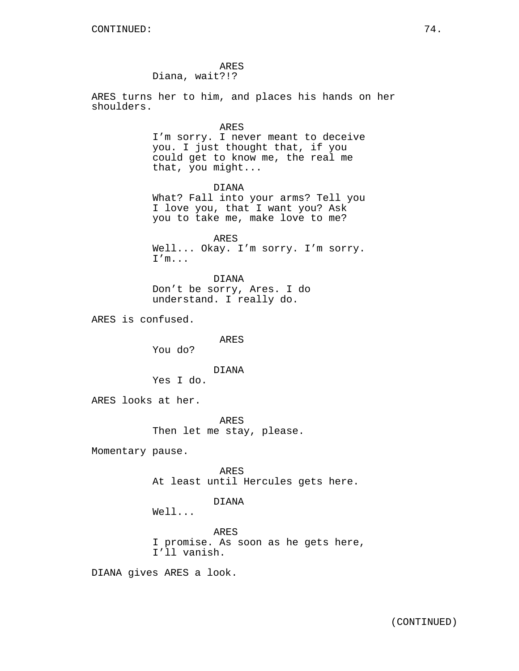ARES Diana, wait?!?

ARES turns her to him, and places his hands on her shoulders.

ARES

I'm sorry. I never meant to deceive you. I just thought that, if you could get to know me, the real me that, you might...

DIANA What? Fall into your arms? Tell you I love you, that I want you? Ask you to take me, make love to me?

ARES Well... Okay. I'm sorry. I'm sorry. I'm...

DIANA Don't be sorry, Ares. I do understand. I really do.

ARES is confused.

ARES

You do?

DIANA

Yes I do.

ARES looks at her.

ARES Then let me stay, please.

Momentary pause.

ARES At least until Hercules gets here.

DIANA

Well...

ARES I promise. As soon as he gets here, I'll vanish.

DIANA gives ARES a look.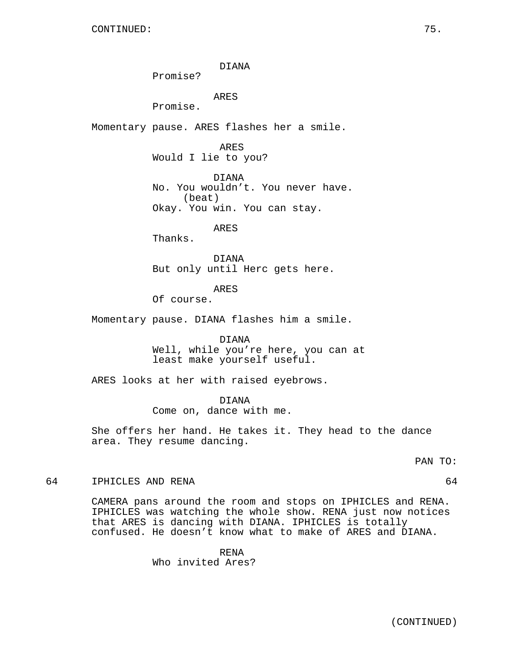DIANA

Promise?

ARES

Promise.

Momentary pause. ARES flashes her a smile.

ARES Would I lie to you?

DIANA No. You wouldn't. You never have. (beat) Okay. You win. You can stay.

ARES

Thanks.

DIANA But only until Herc gets here.

ARES

Of course.

Momentary pause. DIANA flashes him a smile.

DIANA Well, while you're here, you can at least make yourself useful.

ARES looks at her with raised eyebrows.

DIANA

Come on, dance with me.

She offers her hand. He takes it. They head to the dance area. They resume dancing.

PAN TO:

64 IPHICLES AND RENA 64

CAMERA pans around the room and stops on IPHICLES and RENA. IPHICLES was watching the whole show. RENA just now notices that ARES is dancing with DIANA. IPHICLES is totally confused. He doesn't know what to make of ARES and DIANA.

RENA

Who invited Ares?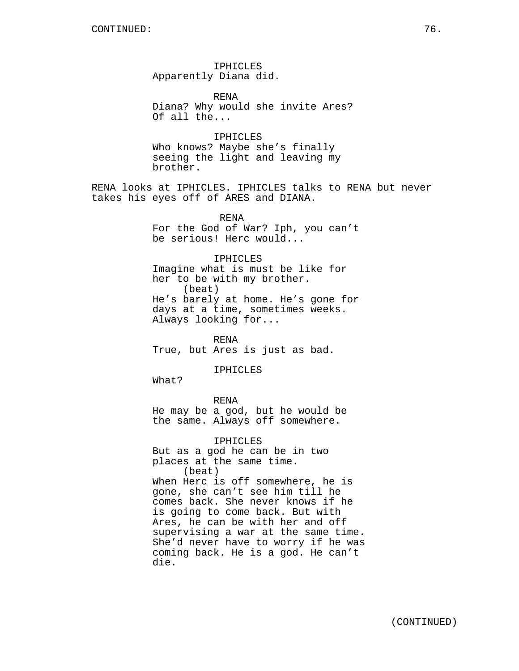IPHICLES Apparently Diana did.

RENA Diana? Why would she invite Ares? Of all the...

IPHICLES Who knows? Maybe she's finally seeing the light and leaving my brother.

RENA looks at IPHICLES. IPHICLES talks to RENA but never takes his eyes off of ARES and DIANA.

> RENA For the God of War? Iph, you can't be serious! Herc would...

> IPHICLES Imagine what is must be like for her to be with my brother. (beat) He's barely at home. He's gone for days at a time, sometimes weeks. Always looking for...

RENA True, but Ares is just as bad.

IPHICLES

What?

RENA He may be a god, but he would be the same. Always off somewhere.

IPHICLES But as a god he can be in two places at the same time. (beat) When Herc is off somewhere, he is gone, she can't see him till he comes back. She never knows if he is going to come back. But with Ares, he can be with her and off supervising a war at the same time. She'd never have to worry if he was coming back. He is a god. He can't die.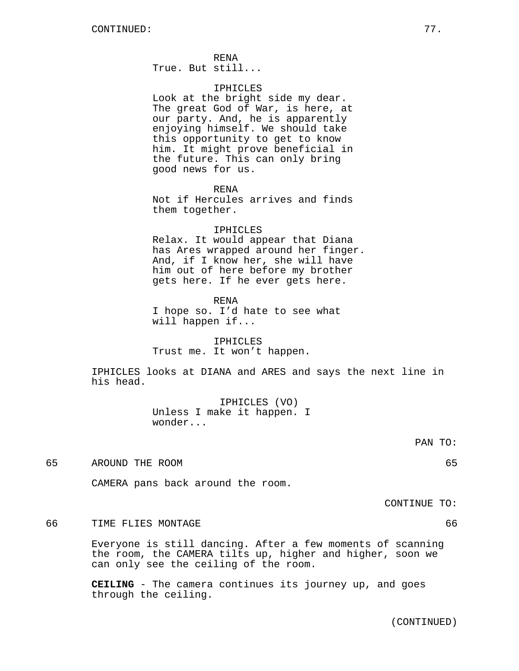RENA

True. But still...

## IPHICLES

Look at the bright side my dear. The great God of War, is here, at our party. And, he is apparently enjoying himself. We should take this opportunity to get to know him. It might prove beneficial in the future. This can only bring good news for us.

RENA

Not if Hercules arrives and finds them together.

#### IPHICLES

Relax. It would appear that Diana has Ares wrapped around her finger. And, if I know her, she will have him out of here before my brother gets here. If he ever gets here.

RENA

I hope so. I'd hate to see what will happen if...

IPHICLES Trust me. It won't happen.

IPHICLES looks at DIANA and ARES and says the next line in his head.

> IPHICLES (VO) Unless I make it happen. I wonder...

> > PAN TO:

65 AROUND THE ROOM 65

CAMERA pans back around the room.

CONTINUE TO:

66 TIME FLIES MONTAGE 66

Everyone is still dancing. After a few moments of scanning the room, the CAMERA tilts up, higher and higher, soon we can only see the ceiling of the room.

**CEILING** - The camera continues its journey up, and goes through the ceiling.

(CONTINUED)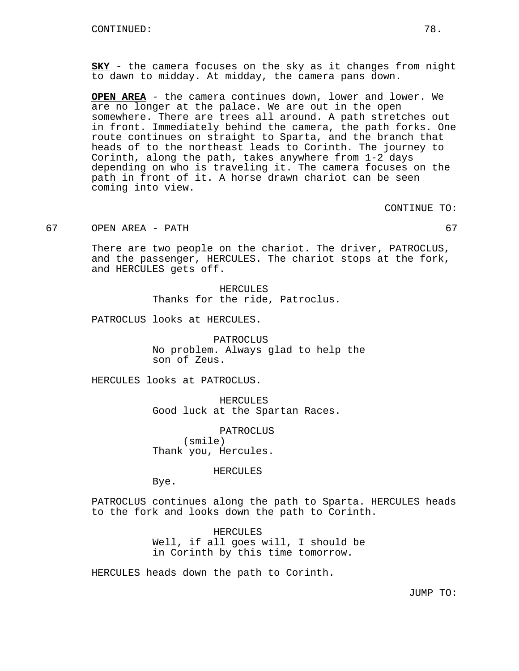**SKY** - the camera focuses on the sky as it changes from night to dawn to midday. At midday, the camera pans down.

**OPEN AREA** - the camera continues down, lower and lower. We are no longer at the palace. We are out in the open somewhere. There are trees all around. A path stretches out in front. Immediately behind the camera, the path forks. One route continues on straight to Sparta, and the branch that heads of to the northeast leads to Corinth. The journey to Corinth, along the path, takes anywhere from 1-2 days depending on who is traveling it. The camera focuses on the path in front of it. A horse drawn chariot can be seen coming into view.

CONTINUE TO:

67 OPEN AREA - PATH 67

There are two people on the chariot. The driver, PATROCLUS, and the passenger, HERCULES. The chariot stops at the fork, and HERCULES gets off.

> HERCULES Thanks for the ride, Patroclus.

PATROCLUS looks at HERCULES.

PATROCLUS No problem. Always glad to help the son of Zeus.

HERCULES looks at PATROCLUS.

HERCULES Good luck at the Spartan Races.

PATROCLUS (smile) Thank you, Hercules.

HERCULES

Bye.

PATROCLUS continues along the path to Sparta. HERCULES heads to the fork and looks down the path to Corinth.

> HERCULES Well, if all goes will, I should be in Corinth by this time tomorrow.

HERCULES heads down the path to Corinth.

JUMP TO: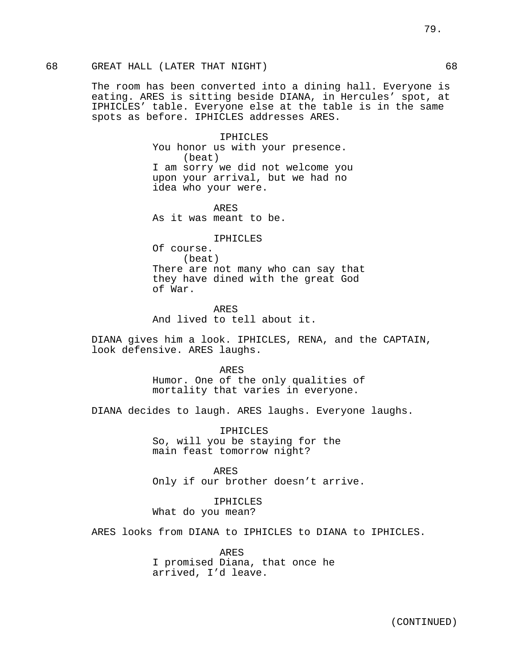# 68 GREAT HALL (LATER THAT NIGHT) 68

The room has been converted into a dining hall. Everyone is eating. ARES is sitting beside DIANA, in Hercules' spot, at IPHICLES' table. Everyone else at the table is in the same spots as before. IPHICLES addresses ARES.

> IPHICLES You honor us with your presence. (beat) I am sorry we did not welcome you upon your arrival, but we had no idea who your were.

ARES As it was meant to be.

IPHICLES

Of course. (beat) There are not many who can say that they have dined with the great God of War.

ARES And lived to tell about it.

DIANA gives him a look. IPHICLES, RENA, and the CAPTAIN, look defensive. ARES laughs.

> ARES Humor. One of the only qualities of mortality that varies in everyone.

DIANA decides to laugh. ARES laughs. Everyone laughs.

IPHICLES So, will you be staying for the main feast tomorrow night?

ARES Only if our brother doesn't arrive.

IPHICLES What do you mean?

ARES looks from DIANA to IPHICLES to DIANA to IPHICLES.

ARES I promised Diana, that once he arrived, I'd leave.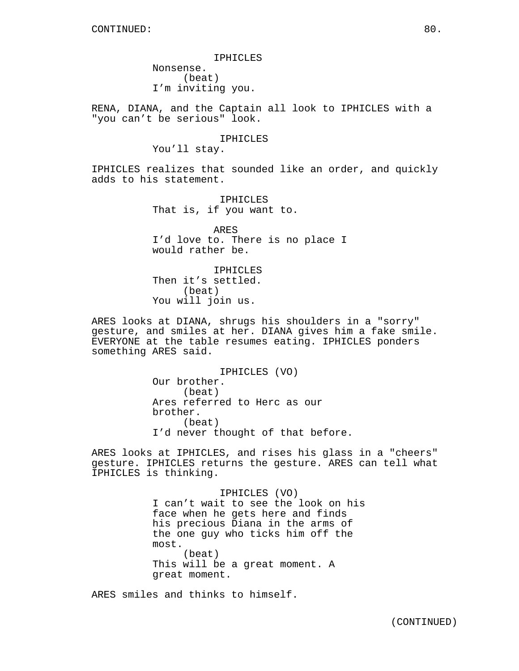IPHICLES Nonsense. (beat) I'm inviting you.

RENA, DIANA, and the Captain all look to IPHICLES with a "you can't be serious" look.

IPHICLES

You'll stay.

IPHICLES realizes that sounded like an order, and quickly adds to his statement.

> IPHICLES That is, if you want to.

ARES I'd love to. There is no place I would rather be.

IPHICLES Then it's settled. (beat) You will join us.

ARES looks at DIANA, shrugs his shoulders in a "sorry" gesture, and smiles at her. DIANA gives him a fake smile. EVERYONE at the table resumes eating. IPHICLES ponders something ARES said.

> IPHICLES (VO) Our brother. (beat) Ares referred to Herc as our brother. (beat) I'd never thought of that before.

ARES looks at IPHICLES, and rises his glass in a "cheers" gesture. IPHICLES returns the gesture. ARES can tell what IPHICLES is thinking.

> IPHICLES (VO) I can't wait to see the look on his face when he gets here and finds his precious Diana in the arms of the one guy who ticks him off the most. (beat) This will be a great moment. A great moment.

ARES smiles and thinks to himself.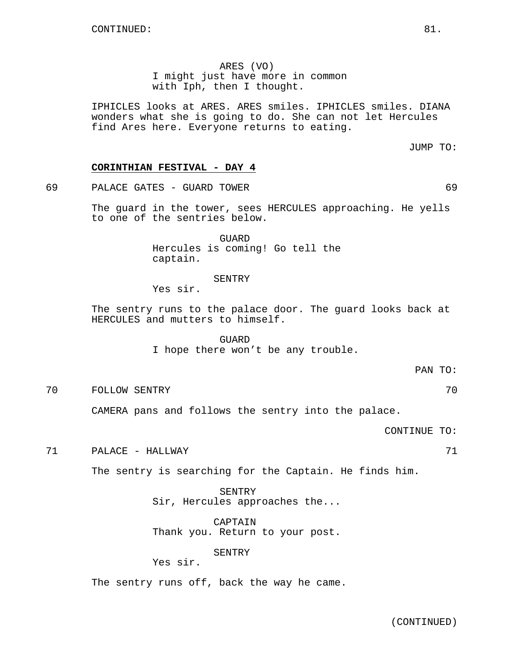ARES (VO) I might just have more in common with Iph, then I thought.

IPHICLES looks at ARES. ARES smiles. IPHICLES smiles. DIANA wonders what she is going to do. She can not let Hercules find Ares here. Everyone returns to eating.

JUMP TO:

## **CORINTHIAN FESTIVAL - DAY 4**

69 PALACE GATES - GUARD TOWER 69

The guard in the tower, sees HERCULES approaching. He yells to one of the sentries below.

> GUARD Hercules is coming! Go tell the captain.

# SENTRY

Yes sir.

The sentry runs to the palace door. The guard looks back at HERCULES and mutters to himself.

> GUARD I hope there won't be any trouble.

> > PAN TO:

70 FOLLOW SENTRY 70

CAMERA pans and follows the sentry into the palace.

CONTINUE TO:

71 PALACE - HALLWAY 71

The sentry is searching for the Captain. He finds him.

SENTRY Sir, Hercules approaches the...

CAPTAIN Thank you. Return to your post.

SENTRY

Yes sir.

The sentry runs off, back the way he came.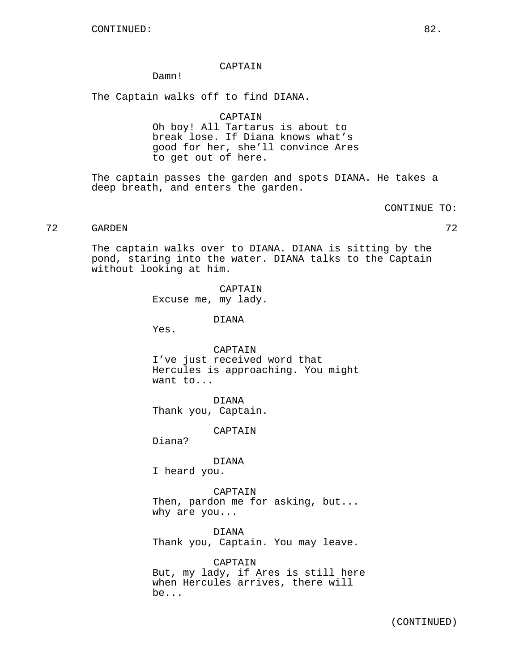## CAPTAIN

Damn!

The Captain walks off to find DIANA.

CAPTAIN

Oh boy! All Tartarus is about to break lose. If Diana knows what's good for her, she'll convince Ares to get out of here.

The captain passes the garden and spots DIANA. He takes a deep breath, and enters the garden.

CONTINUE TO:

# 72 GARDEN 72

The captain walks over to DIANA. DIANA is sitting by the pond, staring into the water. DIANA talks to the Captain without looking at him.

> CAPTAIN Excuse me, my lady.

> > DIANA

Yes.

CAPTAIN I've just received word that Hercules is approaching. You might want to...

DIANA Thank you, Captain.

CAPTAIN

Diana?

DIANA I heard you.

CAPTAIN Then, pardon me for asking, but... why are you...

DIANA Thank you, Captain. You may leave.

CAPTAIN But, my lady, if Ares is still here when Hercules arrives, there will be...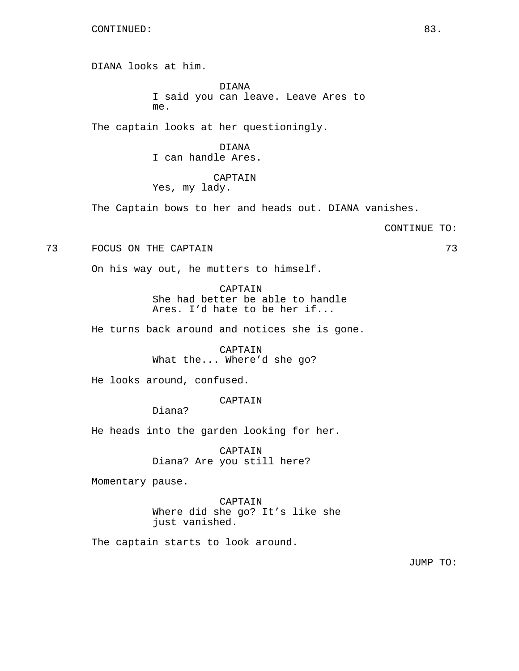DIANA looks at him.

DIANA I said you can leave. Leave Ares to me.

The captain looks at her questioningly.

DIANA I can handle Ares.

# CAPTAIN

Yes, my lady.

The Captain bows to her and heads out. DIANA vanishes.

CONTINUE TO:

73 FOCUS ON THE CAPTAIN 73

On his way out, he mutters to himself.

CAPTAIN She had better be able to handle Ares. I'd hate to be her if...

He turns back around and notices she is gone.

CAPTAIN What the... Where'd she go?

He looks around, confused.

CAPTAIN

Diana?

He heads into the garden looking for her.

CAPTAIN Diana? Are you still here?

Momentary pause.

CAPTAIN Where did she go? It's like she just vanished.

The captain starts to look around.

JUMP TO: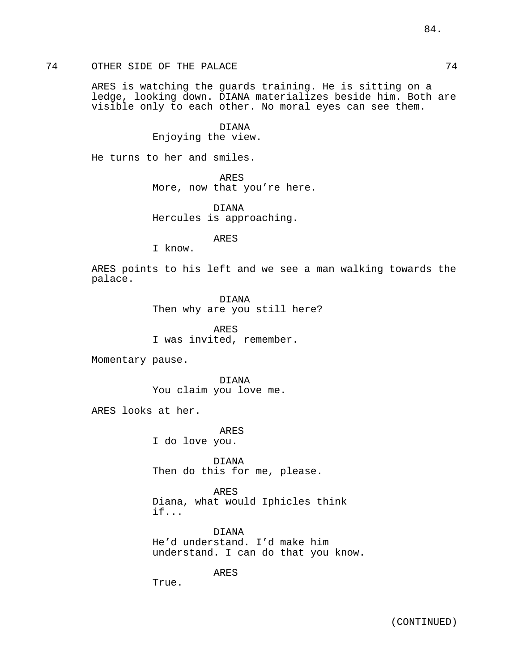ARES is watching the guards training. He is sitting on a ledge, looking down. DIANA materializes beside him. Both are visible only to each other. No moral eyes can see them.

> DIANA Enjoying the view.

He turns to her and smiles.

ARES

More, now that you're here.

DIANA Hercules is approaching.

ARES

I know.

ARES points to his left and we see a man walking towards the palace.

> DIANA Then why are you still here?

ARES I was invited, remember.

Momentary pause.

DIANA You claim you love me.

ARES looks at her.

ARES I do love you.

DIANA Then do this for me, please.

ARES Diana, what would Iphicles think if...

DIANA He'd understand. I'd make him understand. I can do that you know.

ARES

True.

84.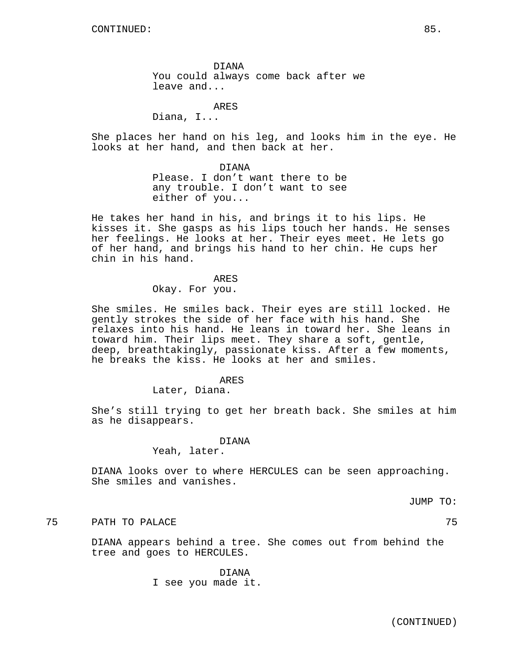DIANA You could always come back after we leave and...

ARES

Diana, I...

She places her hand on his leg, and looks him in the eye. He looks at her hand, and then back at her.

DIANA

Please. I don't want there to be any trouble. I don't want to see either of you...

He takes her hand in his, and brings it to his lips. He kisses it. She gasps as his lips touch her hands. He senses her feelings. He looks at her. Their eyes meet. He lets go of her hand, and brings his hand to her chin. He cups her chin in his hand.

ARES

Okay. For you.

She smiles. He smiles back. Their eyes are still locked. He gently strokes the side of her face with his hand. She relaxes into his hand. He leans in toward her. She leans in toward him. Their lips meet. They share a soft, gentle, deep, breathtakingly, passionate kiss. After a few moments, he breaks the kiss. He looks at her and smiles.

#### ARES

Later, Diana.

She's still trying to get her breath back. She smiles at him as he disappears.

#### DIANA

Yeah, later.

DIANA looks over to where HERCULES can be seen approaching. She smiles and vanishes.

JUMP TO:

# The Path of Palace and the Path of the Path of the Path of the Path of the Path of the Path of the Path of the Path of the Path of the Path of the Path of the Path of the Path of the Path of the Path of the Path of the Pat

DIANA appears behind a tree. She comes out from behind the tree and goes to HERCULES.

> DIANA I see you made it.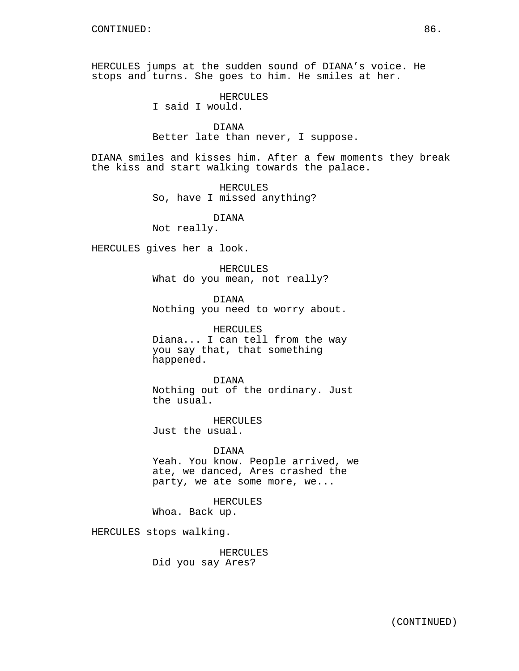HERCULES jumps at the sudden sound of DIANA's voice. He stops and turns. She goes to him. He smiles at her.

> HERCULES I said I would.

DIANA Better late than never, I suppose.

DIANA smiles and kisses him. After a few moments they break the kiss and start walking towards the palace.

> HERCULES So, have I missed anything?

> > DIANA

Not really.

HERCULES gives her a look.

HERCULES What do you mean, not really?

DIANA Nothing you need to worry about.

HERCULES Diana... I can tell from the way you say that, that something happened.

DIANA Nothing out of the ordinary. Just the usual.

HERCULES Just the usual.

DIANA Yeah. You know. People arrived, we ate, we danced, Ares crashed the party, we ate some more, we...

HERCULES Whoa. Back up.

HERCULES stops walking.

HERCULES Did you say Ares?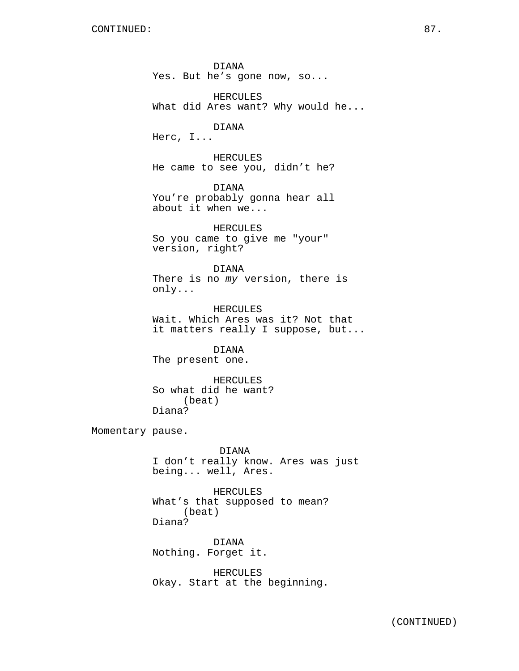DIANA Yes. But he's gone now, so... HERCULES What did Ares want? Why would he... DIANA Herc, I... HERCULES He came to see you, didn't he? DIANA You're probably gonna hear all about it when we... HERCULES So you came to give me "your" version, right? DIANA There is no my version, there is only... HERCULES Wait. Which Ares was it? Not that it matters really I suppose, but... DIANA The present one. HERCULES So what did he want? (beat) Diana? Momentary pause. DIANA I don't really know. Ares was just being... well, Ares. HERCULES What's that supposed to mean? (beat) Diana? DIANA Nothing. Forget it.

> HERCULES Okay. Start at the beginning.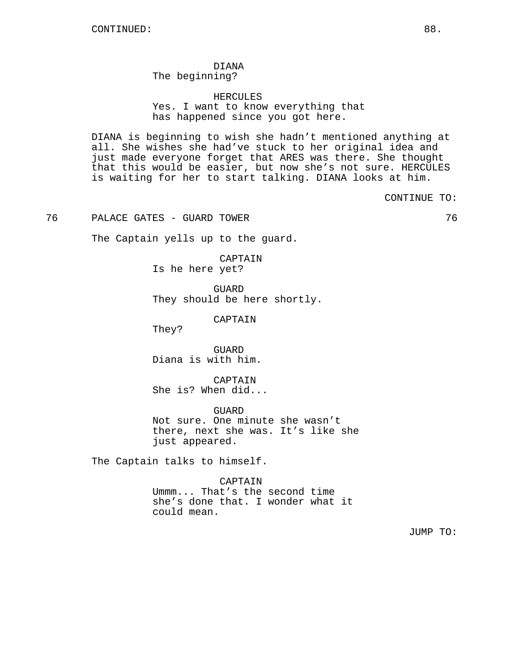# DIANA

The beginning?

HERCULES Yes. I want to know everything that has happened since you got here.

DIANA is beginning to wish she hadn't mentioned anything at all. She wishes she had've stuck to her original idea and just made everyone forget that ARES was there. She thought that this would be easier, but now she's not sure. HERCULES is waiting for her to start talking. DIANA looks at him.

CONTINUE TO:

76 PALACE GATES - GUARD TOWER 76

The Captain yells up to the guard.

CAPTAIN Is he here yet?

GUARD They should be here shortly.

CAPTAIN

They?

GUARD Diana is with him.

CAPTAIN She is? When did...

GUARD Not sure. One minute she wasn't there, next she was. It's like she just appeared.

The Captain talks to himself.

CAPTAIN

Ummm... That's the second time she's done that. I wonder what it could mean.

JUMP TO: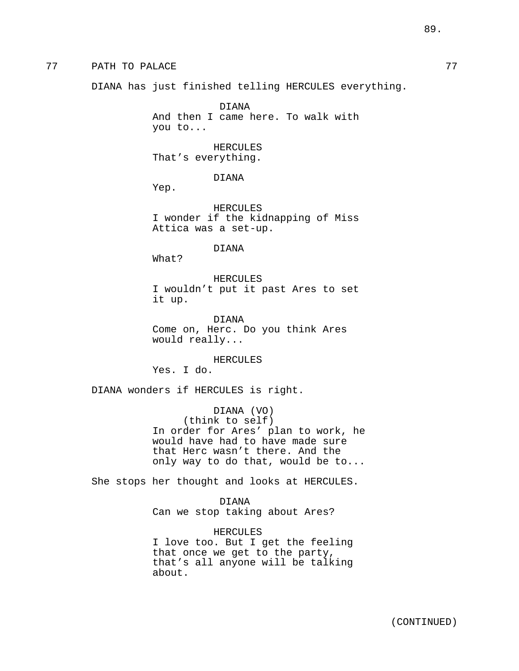DIANA has just finished telling HERCULES everything.

DIANA And then I came here. To walk with you to...

HERCULES That's everything.

DIANA

Yep.

HERCULES I wonder if the kidnapping of Miss Attica was a set-up.

DIANA

What?

HERCULES I wouldn't put it past Ares to set it up.

DIANA Come on, Herc. Do you think Ares would really...

HERCULES Yes. I do.

DIANA wonders if HERCULES is right.

DIANA (VO) (think to self) In order for Ares' plan to work, he would have had to have made sure that Herc wasn't there. And the only way to do that, would be to...

She stops her thought and looks at HERCULES.

DIANA Can we stop taking about Ares?

HERCULES I love too. But I get the feeling that once we get to the party, that's all anyone will be talking about.

89.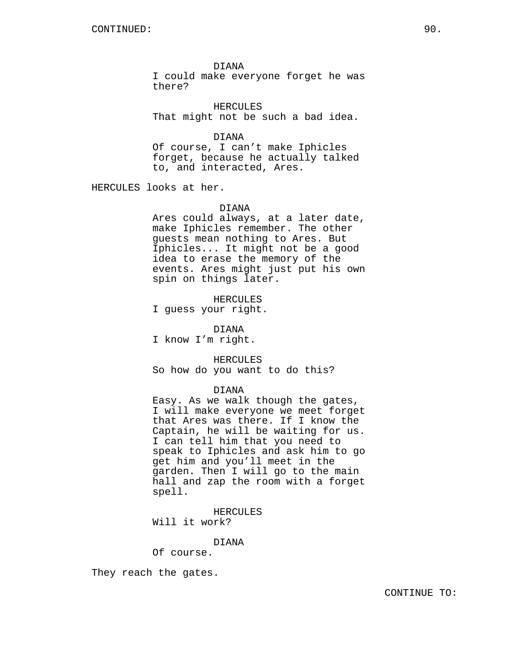DIANA

I could make everyone forget he was there?

HERCULES That might not be such a bad idea.

DIANA

Of course, I can't make Iphicles forget, because he actually talked to, and interacted, Ares.

HERCULES looks at her.

#### DIANA

Ares could always, at a later date, make Iphicles remember. The other guests mean nothing to Ares. But Iphicles... It might not be a good idea to erase the memory of the events. Ares might just put his own spin on things later.

HERCULES I guess your right.

DIANA I know I'm right.

HERCULES So how do you want to do this?

## DIANA

Easy. As we walk though the gates, I will make everyone we meet forget that Ares was there. If I know the Captain, he will be waiting for us. I can tell him that you need to speak to Iphicles and ask him to go get him and you'll meet in the garden. Then I will go to the main hall and zap the room with a forget spell.

HERCULES

Will it work?

DIANA

Of course.

They reach the gates.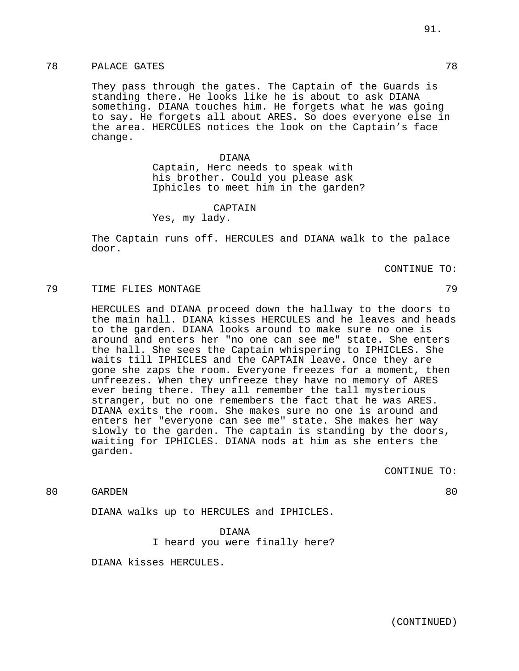They pass through the gates. The Captain of the Guards is standing there. He looks like he is about to ask DIANA something. DIANA touches him. He forgets what he was going to say. He forgets all about ARES. So does everyone else in the area. HERCULES notices the look on the Captain's face change.

> DIANA Captain, Herc needs to speak with his brother. Could you please ask Iphicles to meet him in the garden?

> > CAPTAIN

Yes, my lady.

The Captain runs off. HERCULES and DIANA walk to the palace door.

CONTINUE TO:

# TIME FLIES MONTAGE 79

HERCULES and DIANA proceed down the hallway to the doors to the main hall. DIANA kisses HERCULES and he leaves and heads to the garden. DIANA looks around to make sure no one is around and enters her "no one can see me" state. She enters the hall. She sees the Captain whispering to IPHICLES. She waits till IPHICLES and the CAPTAIN leave. Once they are gone she zaps the room. Everyone freezes for a moment, then unfreezes. When they unfreeze they have no memory of ARES ever being there. They all remember the tall mysterious stranger, but no one remembers the fact that he was ARES. DIANA exits the room. She makes sure no one is around and enters her "everyone can see me" state. She makes her way slowly to the garden. The captain is standing by the doors, waiting for IPHICLES. DIANA nods at him as she enters the garden.

CONTINUE TO:

80 GARDEN 80

DIANA walks up to HERCULES and IPHICLES.

DIANA I heard you were finally here?

DIANA kisses HERCULES.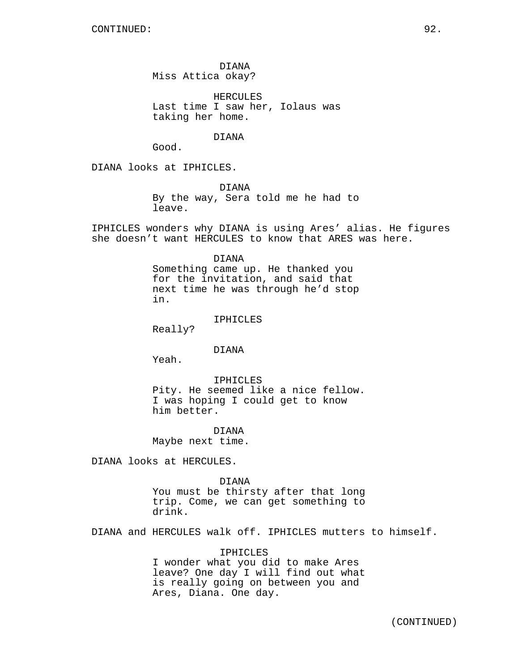DIANA Miss Attica okay?

HERCULES Last time I saw her, Iolaus was taking her home.

DIANA

Good.

DIANA looks at IPHICLES.

DIANA By the way, Sera told me he had to leave.

IPHICLES wonders why DIANA is using Ares' alias. He figures she doesn't want HERCULES to know that ARES was here.

DIANA

Something came up. He thanked you for the invitation, and said that next time he was through he'd stop in.

IPHICLES

Really?

DIANA

Yeah.

IPHICLES Pity. He seemed like a nice fellow. I was hoping I could get to know him better.

DIANA Maybe next time.

DIANA looks at HERCULES.

DIANA

You must be thirsty after that long trip. Come, we can get something to drink.

DIANA and HERCULES walk off. IPHICLES mutters to himself.

IPHICLES I wonder what you did to make Ares leave? One day I will find out what is really going on between you and Ares, Diana. One day.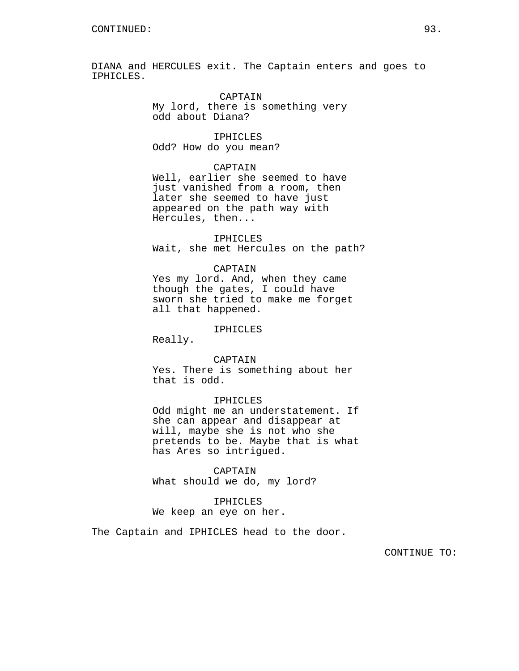DIANA and HERCULES exit. The Captain enters and goes to IPHICLES.

> CAPTAIN My lord, there is something very odd about Diana?

IPHICLES Odd? How do you mean?

### CAPTAIN

Well, earlier she seemed to have just vanished from a room, then later she seemed to have just appeared on the path way with Hercules, then...

IPHICLES

Wait, she met Hercules on the path?

#### CAPTAIN

Yes my lord. And, when they came though the gates, I could have sworn she tried to make me forget all that happened.

#### IPHICLES

Really.

#### CAPTAIN

Yes. There is something about her that is odd.

## IPHICLES

Odd might me an understatement. If she can appear and disappear at will, maybe she is not who she pretends to be. Maybe that is what has Ares so intrigued.

#### CAPTAIN

What should we do, my lord?

#### IPHICLES

We keep an eye on her.

The Captain and IPHICLES head to the door.

CONTINUE TO: